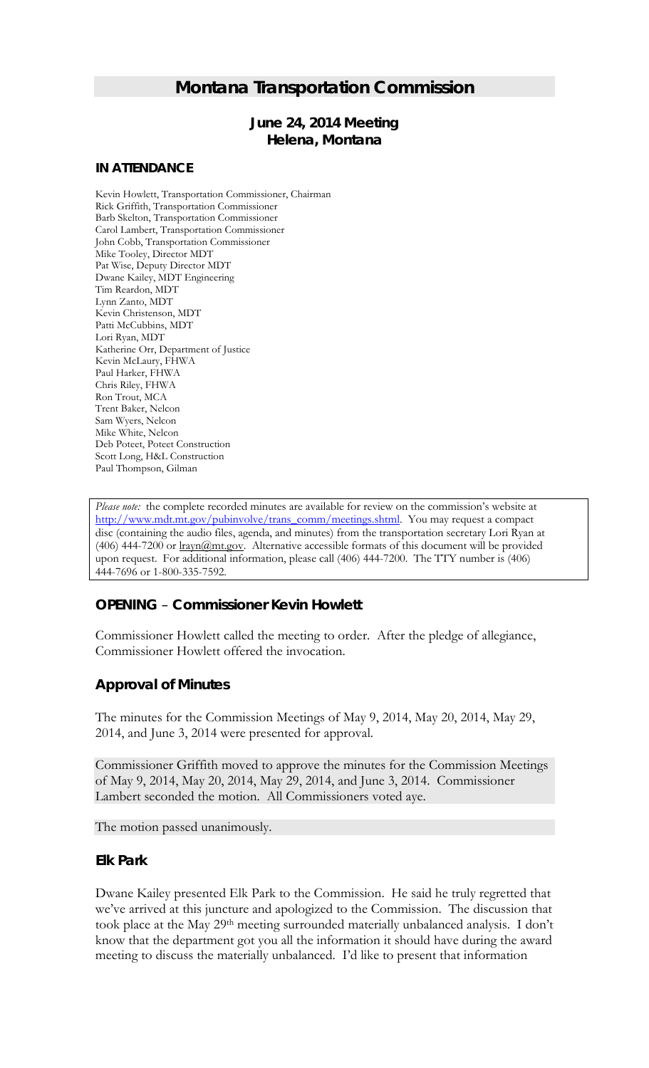# *Montana Transportation Commission*

## *June 24, 2014 Meeting* **Helena, Montana**

#### **IN ATTENDANCE**

Kevin Howlett, Transportation Commissioner, Chairman Rick Griffith, Transportation Commissioner Barb Skelton, Transportation Commissioner Carol Lambert, Transportation Commissioner John Cobb, Transportation Commissioner Mike Tooley, Director MDT Pat Wise, Deputy Director MDT Dwane Kailey, MDT Engineering Tim Reardon, MDT Lynn Zanto, MDT Kevin Christenson, MDT Patti McCubbins, MDT Lori Ryan, MDT Katherine Orr, Department of Justice Kevin McLaury, FHWA Paul Harker, FHWA Chris Riley, FHWA Ron Trout, MCA Trent Baker, Nelcon Sam Wyers, Nelcon Mike White, Nelcon Deb Poteet, Poteet Construction Scott Long, H&L Construction Paul Thompson, Gilman

*Please note:* the complete recorded minutes are available for review on the commission's website at [http://www.mdt.mt.gov/pubinvolve/trans\\_comm/meetings.shtml.](http://www.mdt.mt.gov/pubinvolve/trans_comm/meetings.shtml) You may request a compact disc (containing the audio files, agenda, and minutes) from the transportation secretary Lori Ryan at (406) 444-7200 or lrayn@mt.gov. Alternative accessible formats of this document will be provided upon request. For additional information, please call (406) 444-7200. The TTY number is (406) 444-7696 or 1-800-335-7592.

### *OPENING – Commissioner Kevin Howlett*

Commissioner Howlett called the meeting to order. After the pledge of allegiance, Commissioner Howlett offered the invocation.

## *Approval of Minutes*

The minutes for the Commission Meetings of May 9, 2014, May 20, 2014, May 29, 2014, and June 3, 2014 were presented for approval.

Commissioner Griffith moved to approve the minutes for the Commission Meetings of May 9, 2014, May 20, 2014, May 29, 2014, and June 3, 2014. Commissioner Lambert seconded the motion. All Commissioners voted aye.

The motion passed unanimously.

### *Elk Park*

Dwane Kailey presented Elk Park to the Commission. He said he truly regretted that we've arrived at this juncture and apologized to the Commission. The discussion that took place at the May 29th meeting surrounded materially unbalanced analysis. I don't know that the department got you all the information it should have during the award meeting to discuss the materially unbalanced. I'd like to present that information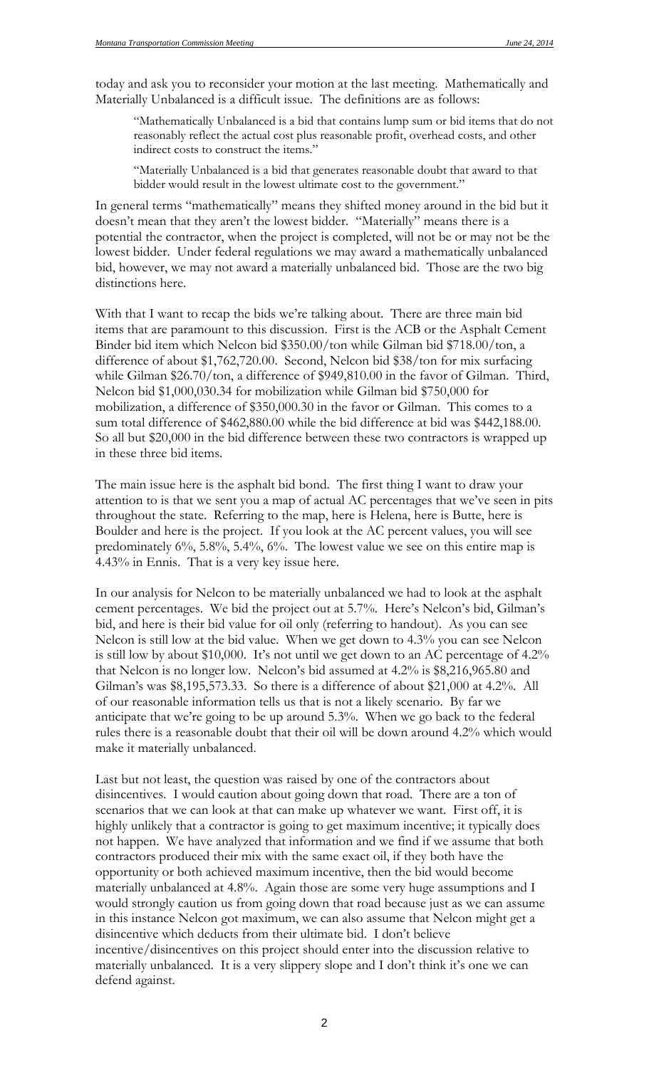today and ask you to reconsider your motion at the last meeting. Mathematically and Materially Unbalanced is a difficult issue. The definitions are as follows:

"Mathematically Unbalanced is a bid that contains lump sum or bid items that do not reasonably reflect the actual cost plus reasonable profit, overhead costs, and other indirect costs to construct the items."

"Materially Unbalanced is a bid that generates reasonable doubt that award to that bidder would result in the lowest ultimate cost to the government."

In general terms "mathematically" means they shifted money around in the bid but it doesn't mean that they aren't the lowest bidder. "Materially" means there is a potential the contractor, when the project is completed, will not be or may not be the lowest bidder. Under federal regulations we may award a mathematically unbalanced bid, however, we may not award a materially unbalanced bid. Those are the two big distinctions here.

With that I want to recap the bids we're talking about. There are three main bid items that are paramount to this discussion. First is the ACB or the Asphalt Cement Binder bid item which Nelcon bid \$350.00/ton while Gilman bid \$718.00/ton, a difference of about \$1,762,720.00. Second, Nelcon bid \$38/ton for mix surfacing while Gilman \$26.70/ton, a difference of \$949,810.00 in the favor of Gilman. Third, Nelcon bid \$1,000,030.34 for mobilization while Gilman bid \$750,000 for mobilization, a difference of \$350,000.30 in the favor or Gilman. This comes to a sum total difference of \$462,880.00 while the bid difference at bid was \$442,188.00. So all but \$20,000 in the bid difference between these two contractors is wrapped up in these three bid items.

The main issue here is the asphalt bid bond. The first thing I want to draw your attention to is that we sent you a map of actual AC percentages that we've seen in pits throughout the state. Referring to the map, here is Helena, here is Butte, here is Boulder and here is the project. If you look at the AC percent values, you will see predominately 6%, 5.8%, 5.4%, 6%. The lowest value we see on this entire map is 4.43% in Ennis. That is a very key issue here.

In our analysis for Nelcon to be materially unbalanced we had to look at the asphalt cement percentages. We bid the project out at 5.7%. Here's Nelcon's bid, Gilman's bid, and here is their bid value for oil only (referring to handout). As you can see Nelcon is still low at the bid value. When we get down to 4.3% you can see Nelcon is still low by about \$10,000. It's not until we get down to an AC percentage of 4.2% that Nelcon is no longer low. Nelcon's bid assumed at 4.2% is \$8,216,965.80 and Gilman's was \$8,195,573.33. So there is a difference of about \$21,000 at 4.2%. All of our reasonable information tells us that is not a likely scenario. By far we anticipate that we're going to be up around 5.3%. When we go back to the federal rules there is a reasonable doubt that their oil will be down around 4.2% which would make it materially unbalanced.

Last but not least, the question was raised by one of the contractors about disincentives. I would caution about going down that road. There are a ton of scenarios that we can look at that can make up whatever we want. First off, it is highly unlikely that a contractor is going to get maximum incentive; it typically does not happen. We have analyzed that information and we find if we assume that both contractors produced their mix with the same exact oil, if they both have the opportunity or both achieved maximum incentive, then the bid would become materially unbalanced at 4.8%. Again those are some very huge assumptions and I would strongly caution us from going down that road because just as we can assume in this instance Nelcon got maximum, we can also assume that Nelcon might get a disincentive which deducts from their ultimate bid. I don't believe incentive/disincentives on this project should enter into the discussion relative to materially unbalanced. It is a very slippery slope and I don't think it's one we can defend against.

2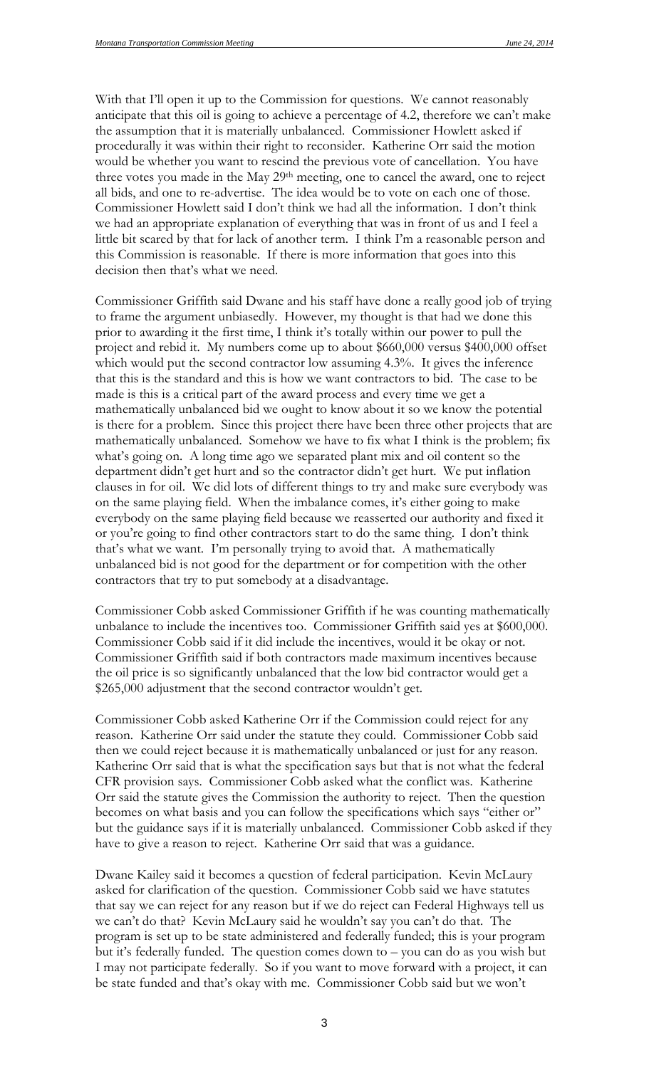With that I'll open it up to the Commission for questions. We cannot reasonably anticipate that this oil is going to achieve a percentage of 4.2, therefore we can't make the assumption that it is materially unbalanced. Commissioner Howlett asked if procedurally it was within their right to reconsider. Katherine Orr said the motion would be whether you want to rescind the previous vote of cancellation. You have three votes you made in the May 29<sup>th</sup> meeting, one to cancel the award, one to reject all bids, and one to re-advertise. The idea would be to vote on each one of those. Commissioner Howlett said I don't think we had all the information. I don't think we had an appropriate explanation of everything that was in front of us and I feel a little bit scared by that for lack of another term. I think I'm a reasonable person and this Commission is reasonable. If there is more information that goes into this decision then that's what we need.

Commissioner Griffith said Dwane and his staff have done a really good job of trying to frame the argument unbiasedly. However, my thought is that had we done this prior to awarding it the first time, I think it's totally within our power to pull the project and rebid it. My numbers come up to about \$660,000 versus \$400,000 offset which would put the second contractor low assuming 4.3%. It gives the inference that this is the standard and this is how we want contractors to bid. The case to be made is this is a critical part of the award process and every time we get a mathematically unbalanced bid we ought to know about it so we know the potential is there for a problem. Since this project there have been three other projects that are mathematically unbalanced. Somehow we have to fix what I think is the problem; fix what's going on. A long time ago we separated plant mix and oil content so the department didn't get hurt and so the contractor didn't get hurt. We put inflation clauses in for oil. We did lots of different things to try and make sure everybody was on the same playing field. When the imbalance comes, it's either going to make everybody on the same playing field because we reasserted our authority and fixed it or you're going to find other contractors start to do the same thing. I don't think that's what we want. I'm personally trying to avoid that. A mathematically unbalanced bid is not good for the department or for competition with the other contractors that try to put somebody at a disadvantage.

Commissioner Cobb asked Commissioner Griffith if he was counting mathematically unbalance to include the incentives too. Commissioner Griffith said yes at \$600,000. Commissioner Cobb said if it did include the incentives, would it be okay or not. Commissioner Griffith said if both contractors made maximum incentives because the oil price is so significantly unbalanced that the low bid contractor would get a \$265,000 adjustment that the second contractor wouldn't get.

Commissioner Cobb asked Katherine Orr if the Commission could reject for any reason. Katherine Orr said under the statute they could. Commissioner Cobb said then we could reject because it is mathematically unbalanced or just for any reason. Katherine Orr said that is what the specification says but that is not what the federal CFR provision says. Commissioner Cobb asked what the conflict was. Katherine Orr said the statute gives the Commission the authority to reject. Then the question becomes on what basis and you can follow the specifications which says "either or" but the guidance says if it is materially unbalanced. Commissioner Cobb asked if they have to give a reason to reject. Katherine Orr said that was a guidance.

Dwane Kailey said it becomes a question of federal participation. Kevin McLaury asked for clarification of the question. Commissioner Cobb said we have statutes that say we can reject for any reason but if we do reject can Federal Highways tell us we can't do that? Kevin McLaury said he wouldn't say you can't do that. The program is set up to be state administered and federally funded; this is your program but it's federally funded. The question comes down to – you can do as you wish but I may not participate federally. So if you want to move forward with a project, it can be state funded and that's okay with me. Commissioner Cobb said but we won't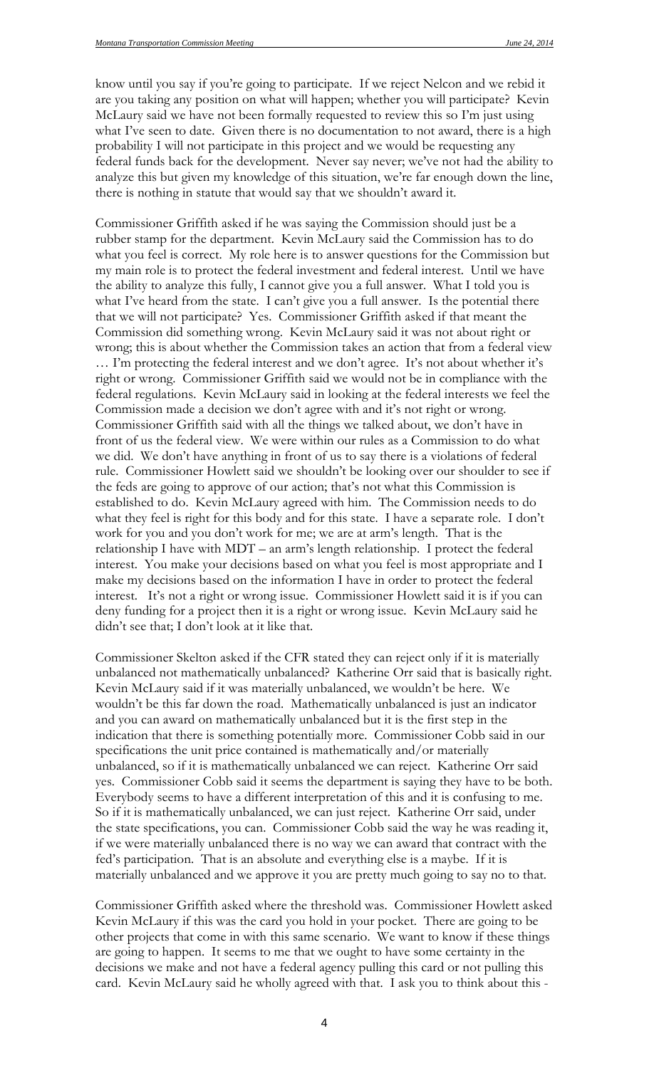know until you say if you're going to participate. If we reject Nelcon and we rebid it are you taking any position on what will happen; whether you will participate? Kevin McLaury said we have not been formally requested to review this so I'm just using what I've seen to date. Given there is no documentation to not award, there is a high probability I will not participate in this project and we would be requesting any federal funds back for the development. Never say never; we've not had the ability to analyze this but given my knowledge of this situation, we're far enough down the line, there is nothing in statute that would say that we shouldn't award it.

Commissioner Griffith asked if he was saying the Commission should just be a rubber stamp for the department. Kevin McLaury said the Commission has to do what you feel is correct. My role here is to answer questions for the Commission but my main role is to protect the federal investment and federal interest. Until we have the ability to analyze this fully, I cannot give you a full answer. What I told you is what I've heard from the state. I can't give you a full answer. Is the potential there that we will not participate? Yes. Commissioner Griffith asked if that meant the Commission did something wrong. Kevin McLaury said it was not about right or wrong; this is about whether the Commission takes an action that from a federal view … I'm protecting the federal interest and we don't agree. It's not about whether it's right or wrong. Commissioner Griffith said we would not be in compliance with the federal regulations. Kevin McLaury said in looking at the federal interests we feel the Commission made a decision we don't agree with and it's not right or wrong. Commissioner Griffith said with all the things we talked about, we don't have in front of us the federal view. We were within our rules as a Commission to do what we did. We don't have anything in front of us to say there is a violations of federal rule. Commissioner Howlett said we shouldn't be looking over our shoulder to see if the feds are going to approve of our action; that's not what this Commission is established to do. Kevin McLaury agreed with him. The Commission needs to do what they feel is right for this body and for this state. I have a separate role. I don't work for you and you don't work for me; we are at arm's length. That is the relationship I have with MDT – an arm's length relationship. I protect the federal interest. You make your decisions based on what you feel is most appropriate and I make my decisions based on the information I have in order to protect the federal interest. It's not a right or wrong issue. Commissioner Howlett said it is if you can deny funding for a project then it is a right or wrong issue. Kevin McLaury said he didn't see that; I don't look at it like that.

Commissioner Skelton asked if the CFR stated they can reject only if it is materially unbalanced not mathematically unbalanced? Katherine Orr said that is basically right. Kevin McLaury said if it was materially unbalanced, we wouldn't be here. We wouldn't be this far down the road. Mathematically unbalanced is just an indicator and you can award on mathematically unbalanced but it is the first step in the indication that there is something potentially more. Commissioner Cobb said in our specifications the unit price contained is mathematically and/or materially unbalanced, so if it is mathematically unbalanced we can reject. Katherine Orr said yes. Commissioner Cobb said it seems the department is saying they have to be both. Everybody seems to have a different interpretation of this and it is confusing to me. So if it is mathematically unbalanced, we can just reject. Katherine Orr said, under the state specifications, you can. Commissioner Cobb said the way he was reading it, if we were materially unbalanced there is no way we can award that contract with the fed's participation. That is an absolute and everything else is a maybe. If it is materially unbalanced and we approve it you are pretty much going to say no to that.

Commissioner Griffith asked where the threshold was. Commissioner Howlett asked Kevin McLaury if this was the card you hold in your pocket. There are going to be other projects that come in with this same scenario. We want to know if these things are going to happen. It seems to me that we ought to have some certainty in the decisions we make and not have a federal agency pulling this card or not pulling this card. Kevin McLaury said he wholly agreed with that. I ask you to think about this -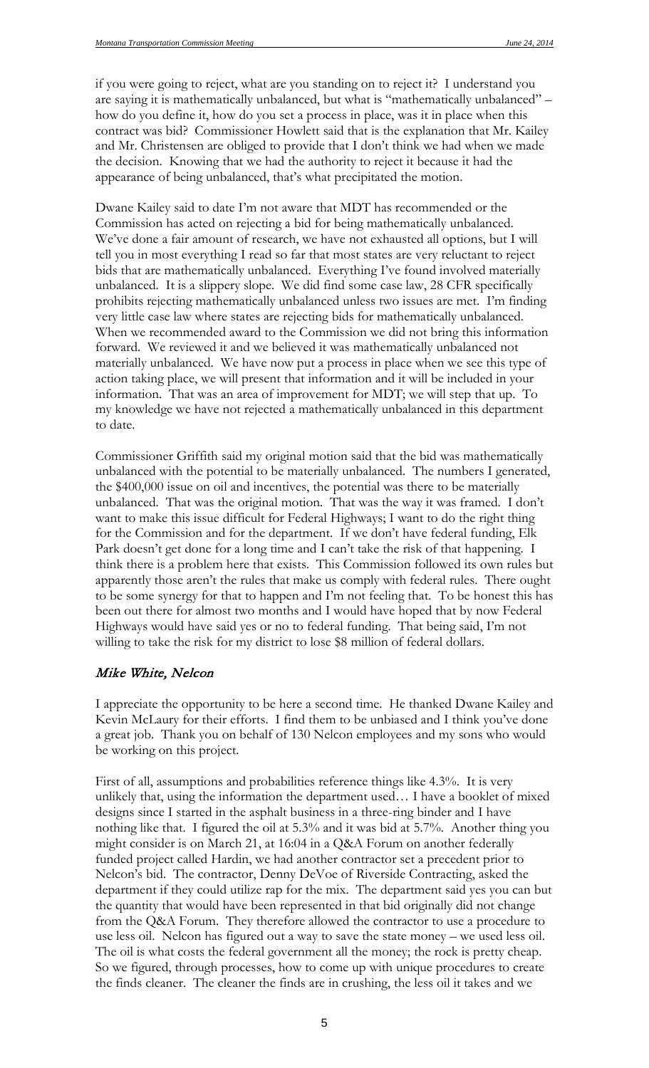if you were going to reject, what are you standing on to reject it? I understand you are saying it is mathematically unbalanced, but what is "mathematically unbalanced" – how do you define it, how do you set a process in place, was it in place when this contract was bid? Commissioner Howlett said that is the explanation that Mr. Kailey and Mr. Christensen are obliged to provide that I don't think we had when we made the decision. Knowing that we had the authority to reject it because it had the appearance of being unbalanced, that's what precipitated the motion.

Dwane Kailey said to date I'm not aware that MDT has recommended or the Commission has acted on rejecting a bid for being mathematically unbalanced. We've done a fair amount of research, we have not exhausted all options, but I will tell you in most everything I read so far that most states are very reluctant to reject bids that are mathematically unbalanced. Everything I've found involved materially unbalanced. It is a slippery slope. We did find some case law, 28 CFR specifically prohibits rejecting mathematically unbalanced unless two issues are met. I'm finding very little case law where states are rejecting bids for mathematically unbalanced. When we recommended award to the Commission we did not bring this information forward. We reviewed it and we believed it was mathematically unbalanced not materially unbalanced. We have now put a process in place when we see this type of action taking place, we will present that information and it will be included in your information. That was an area of improvement for MDT; we will step that up. To my knowledge we have not rejected a mathematically unbalanced in this department to date.

Commissioner Griffith said my original motion said that the bid was mathematically unbalanced with the potential to be materially unbalanced. The numbers I generated, the \$400,000 issue on oil and incentives, the potential was there to be materially unbalanced. That was the original motion. That was the way it was framed. I don't want to make this issue difficult for Federal Highways; I want to do the right thing for the Commission and for the department. If we don't have federal funding, Elk Park doesn't get done for a long time and I can't take the risk of that happening. I think there is a problem here that exists. This Commission followed its own rules but apparently those aren't the rules that make us comply with federal rules. There ought to be some synergy for that to happen and I'm not feeling that. To be honest this has been out there for almost two months and I would have hoped that by now Federal Highways would have said yes or no to federal funding. That being said, I'm not willing to take the risk for my district to lose \$8 million of federal dollars.

#### Mike White, Nelcon

I appreciate the opportunity to be here a second time. He thanked Dwane Kailey and Kevin McLaury for their efforts. I find them to be unbiased and I think you've done a great job. Thank you on behalf of 130 Nelcon employees and my sons who would be working on this project.

First of all, assumptions and probabilities reference things like 4.3%. It is very unlikely that, using the information the department used… I have a booklet of mixed designs since I started in the asphalt business in a three-ring binder and I have nothing like that. I figured the oil at 5.3% and it was bid at 5.7%. Another thing you might consider is on March 21, at 16:04 in a Q&A Forum on another federally funded project called Hardin, we had another contractor set a precedent prior to Nelcon's bid. The contractor, Denny DeVoe of Riverside Contracting, asked the department if they could utilize rap for the mix. The department said yes you can but the quantity that would have been represented in that bid originally did not change from the Q&A Forum. They therefore allowed the contractor to use a procedure to use less oil. Nelcon has figured out a way to save the state money – we used less oil. The oil is what costs the federal government all the money; the rock is pretty cheap. So we figured, through processes, how to come up with unique procedures to create the finds cleaner. The cleaner the finds are in crushing, the less oil it takes and we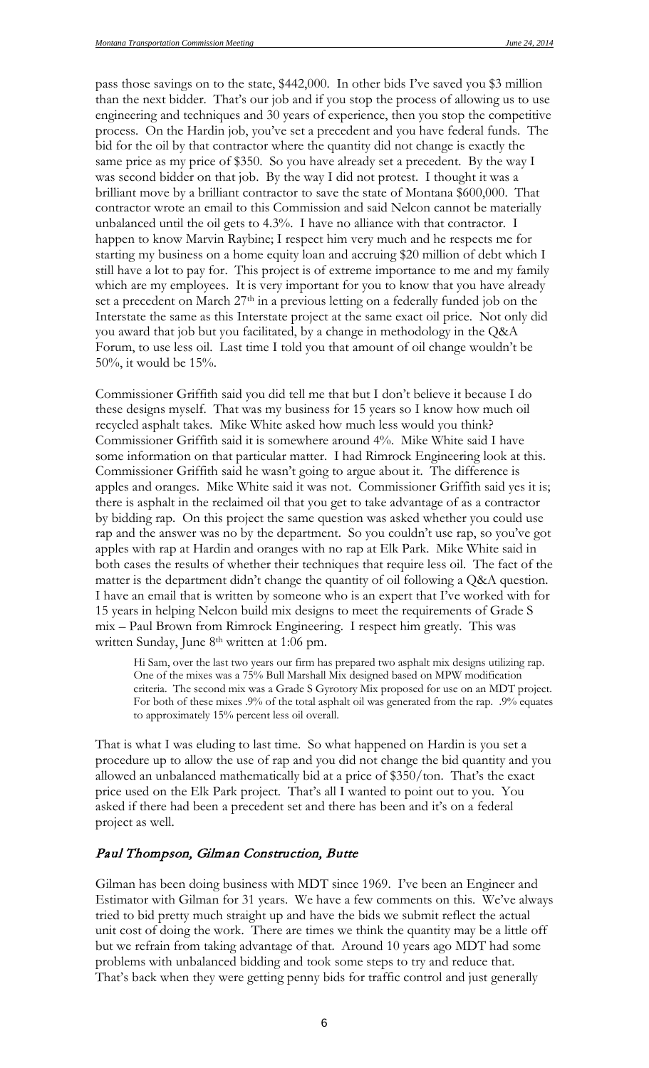pass those savings on to the state, \$442,000. In other bids I've saved you \$3 million than the next bidder. That's our job and if you stop the process of allowing us to use engineering and techniques and 30 years of experience, then you stop the competitive process. On the Hardin job, you've set a precedent and you have federal funds. The bid for the oil by that contractor where the quantity did not change is exactly the same price as my price of \$350. So you have already set a precedent. By the way I was second bidder on that job. By the way I did not protest. I thought it was a brilliant move by a brilliant contractor to save the state of Montana \$600,000. That contractor wrote an email to this Commission and said Nelcon cannot be materially unbalanced until the oil gets to 4.3%. I have no alliance with that contractor. I happen to know Marvin Raybine; I respect him very much and he respects me for starting my business on a home equity loan and accruing \$20 million of debt which I still have a lot to pay for. This project is of extreme importance to me and my family which are my employees. It is very important for you to know that you have already set a precedent on March 27<sup>th</sup> in a previous letting on a federally funded job on the Interstate the same as this Interstate project at the same exact oil price. Not only did you award that job but you facilitated, by a change in methodology in the Q&A Forum, to use less oil. Last time I told you that amount of oil change wouldn't be 50%, it would be 15%.

Commissioner Griffith said you did tell me that but I don't believe it because I do these designs myself. That was my business for 15 years so I know how much oil recycled asphalt takes. Mike White asked how much less would you think? Commissioner Griffith said it is somewhere around 4%. Mike White said I have some information on that particular matter. I had Rimrock Engineering look at this. Commissioner Griffith said he wasn't going to argue about it. The difference is apples and oranges. Mike White said it was not. Commissioner Griffith said yes it is; there is asphalt in the reclaimed oil that you get to take advantage of as a contractor by bidding rap. On this project the same question was asked whether you could use rap and the answer was no by the department. So you couldn't use rap, so you've got apples with rap at Hardin and oranges with no rap at Elk Park. Mike White said in both cases the results of whether their techniques that require less oil. The fact of the matter is the department didn't change the quantity of oil following a Q&A question. I have an email that is written by someone who is an expert that I've worked with for 15 years in helping Nelcon build mix designs to meet the requirements of Grade S mix – Paul Brown from Rimrock Engineering. I respect him greatly. This was written Sunday, June 8<sup>th</sup> written at 1:06 pm.

Hi Sam, over the last two years our firm has prepared two asphalt mix designs utilizing rap. One of the mixes was a 75% Bull Marshall Mix designed based on MPW modification criteria. The second mix was a Grade S Gyrotory Mix proposed for use on an MDT project. For both of these mixes .9% of the total asphalt oil was generated from the rap. .9% equates to approximately 15% percent less oil overall.

That is what I was eluding to last time. So what happened on Hardin is you set a procedure up to allow the use of rap and you did not change the bid quantity and you allowed an unbalanced mathematically bid at a price of \$350/ton. That's the exact price used on the Elk Park project. That's all I wanted to point out to you. You asked if there had been a precedent set and there has been and it's on a federal project as well.

#### Paul Thompson, Gilman Construction, Butte

Gilman has been doing business with MDT since 1969. I've been an Engineer and Estimator with Gilman for 31 years. We have a few comments on this. We've always tried to bid pretty much straight up and have the bids we submit reflect the actual unit cost of doing the work. There are times we think the quantity may be a little off but we refrain from taking advantage of that. Around 10 years ago MDT had some problems with unbalanced bidding and took some steps to try and reduce that. That's back when they were getting penny bids for traffic control and just generally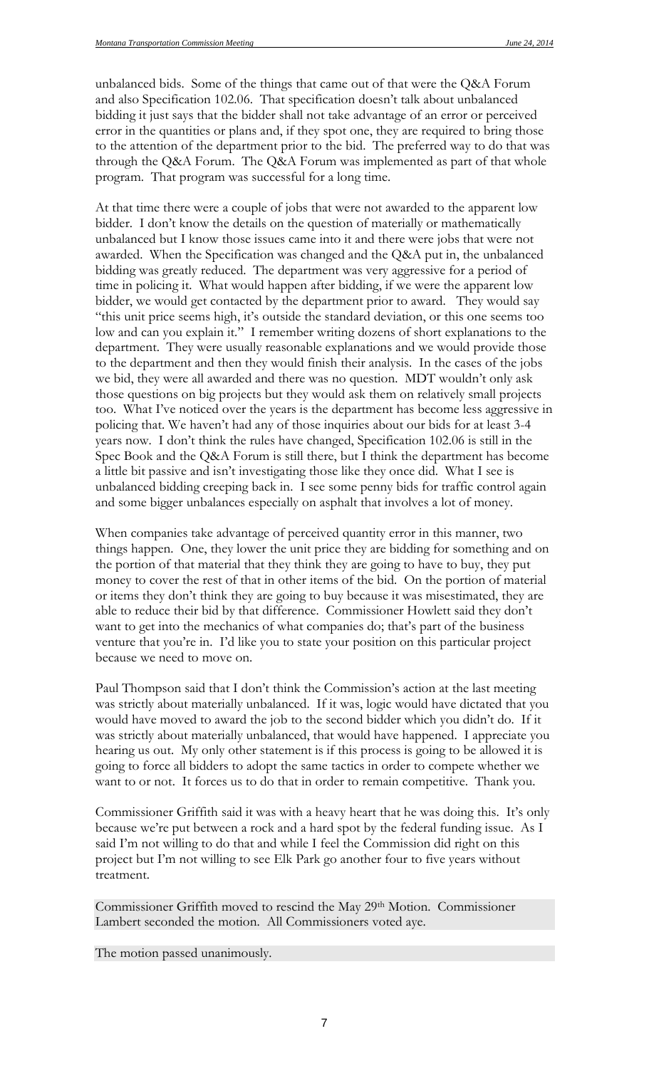unbalanced bids. Some of the things that came out of that were the Q&A Forum and also Specification 102.06. That specification doesn't talk about unbalanced bidding it just says that the bidder shall not take advantage of an error or perceived error in the quantities or plans and, if they spot one, they are required to bring those to the attention of the department prior to the bid. The preferred way to do that was through the Q&A Forum. The Q&A Forum was implemented as part of that whole program. That program was successful for a long time.

At that time there were a couple of jobs that were not awarded to the apparent low bidder. I don't know the details on the question of materially or mathematically unbalanced but I know those issues came into it and there were jobs that were not awarded. When the Specification was changed and the Q&A put in, the unbalanced bidding was greatly reduced. The department was very aggressive for a period of time in policing it. What would happen after bidding, if we were the apparent low bidder, we would get contacted by the department prior to award. They would say "this unit price seems high, it's outside the standard deviation, or this one seems too low and can you explain it." I remember writing dozens of short explanations to the department. They were usually reasonable explanations and we would provide those to the department and then they would finish their analysis. In the cases of the jobs we bid, they were all awarded and there was no question. MDT wouldn't only ask those questions on big projects but they would ask them on relatively small projects too. What I've noticed over the years is the department has become less aggressive in policing that. We haven't had any of those inquiries about our bids for at least 3-4 years now. I don't think the rules have changed, Specification 102.06 is still in the Spec Book and the Q&A Forum is still there, but I think the department has become a little bit passive and isn't investigating those like they once did. What I see is unbalanced bidding creeping back in. I see some penny bids for traffic control again and some bigger unbalances especially on asphalt that involves a lot of money.

When companies take advantage of perceived quantity error in this manner, two things happen. One, they lower the unit price they are bidding for something and on the portion of that material that they think they are going to have to buy, they put money to cover the rest of that in other items of the bid. On the portion of material or items they don't think they are going to buy because it was misestimated, they are able to reduce their bid by that difference. Commissioner Howlett said they don't want to get into the mechanics of what companies do; that's part of the business venture that you're in. I'd like you to state your position on this particular project because we need to move on.

Paul Thompson said that I don't think the Commission's action at the last meeting was strictly about materially unbalanced. If it was, logic would have dictated that you would have moved to award the job to the second bidder which you didn't do. If it was strictly about materially unbalanced, that would have happened. I appreciate you hearing us out. My only other statement is if this process is going to be allowed it is going to force all bidders to adopt the same tactics in order to compete whether we want to or not. It forces us to do that in order to remain competitive. Thank you.

Commissioner Griffith said it was with a heavy heart that he was doing this. It's only because we're put between a rock and a hard spot by the federal funding issue. As I said I'm not willing to do that and while I feel the Commission did right on this project but I'm not willing to see Elk Park go another four to five years without treatment.

Commissioner Griffith moved to rescind the May 29th Motion. Commissioner Lambert seconded the motion. All Commissioners voted aye.

The motion passed unanimously.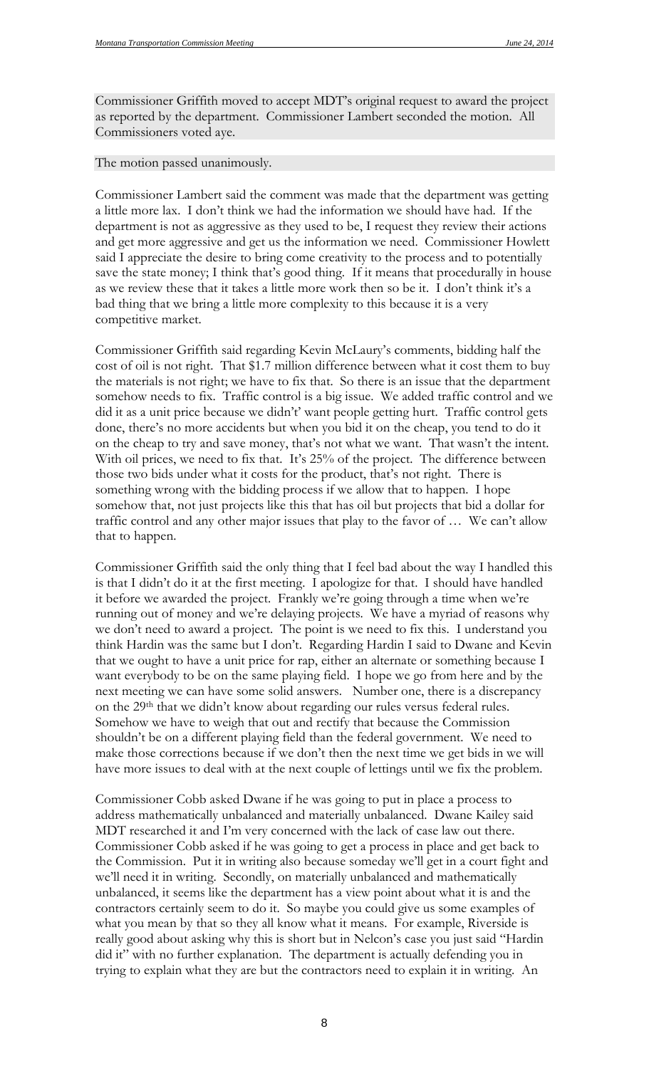Commissioner Griffith moved to accept MDT's original request to award the project as reported by the department. Commissioner Lambert seconded the motion. All Commissioners voted aye.

#### The motion passed unanimously.

Commissioner Lambert said the comment was made that the department was getting a little more lax. I don't think we had the information we should have had. If the department is not as aggressive as they used to be, I request they review their actions and get more aggressive and get us the information we need. Commissioner Howlett said I appreciate the desire to bring come creativity to the process and to potentially save the state money; I think that's good thing. If it means that procedurally in house as we review these that it takes a little more work then so be it. I don't think it's a bad thing that we bring a little more complexity to this because it is a very competitive market.

Commissioner Griffith said regarding Kevin McLaury's comments, bidding half the cost of oil is not right. That \$1.7 million difference between what it cost them to buy the materials is not right; we have to fix that. So there is an issue that the department somehow needs to fix. Traffic control is a big issue. We added traffic control and we did it as a unit price because we didn't' want people getting hurt. Traffic control gets done, there's no more accidents but when you bid it on the cheap, you tend to do it on the cheap to try and save money, that's not what we want. That wasn't the intent. With oil prices, we need to fix that. It's 25% of the project. The difference between those two bids under what it costs for the product, that's not right. There is something wrong with the bidding process if we allow that to happen. I hope somehow that, not just projects like this that has oil but projects that bid a dollar for traffic control and any other major issues that play to the favor of … We can't allow that to happen.

Commissioner Griffith said the only thing that I feel bad about the way I handled this is that I didn't do it at the first meeting. I apologize for that. I should have handled it before we awarded the project. Frankly we're going through a time when we're running out of money and we're delaying projects. We have a myriad of reasons why we don't need to award a project. The point is we need to fix this. I understand you think Hardin was the same but I don't. Regarding Hardin I said to Dwane and Kevin that we ought to have a unit price for rap, either an alternate or something because I want everybody to be on the same playing field. I hope we go from here and by the next meeting we can have some solid answers. Number one, there is a discrepancy on the 29<sup>th</sup> that we didn't know about regarding our rules versus federal rules. Somehow we have to weigh that out and rectify that because the Commission shouldn't be on a different playing field than the federal government. We need to make those corrections because if we don't then the next time we get bids in we will have more issues to deal with at the next couple of lettings until we fix the problem.

Commissioner Cobb asked Dwane if he was going to put in place a process to address mathematically unbalanced and materially unbalanced. Dwane Kailey said MDT researched it and I'm very concerned with the lack of case law out there. Commissioner Cobb asked if he was going to get a process in place and get back to the Commission. Put it in writing also because someday we'll get in a court fight and we'll need it in writing. Secondly, on materially unbalanced and mathematically unbalanced, it seems like the department has a view point about what it is and the contractors certainly seem to do it. So maybe you could give us some examples of what you mean by that so they all know what it means. For example, Riverside is really good about asking why this is short but in Nelcon's case you just said "Hardin did it" with no further explanation. The department is actually defending you in trying to explain what they are but the contractors need to explain it in writing. An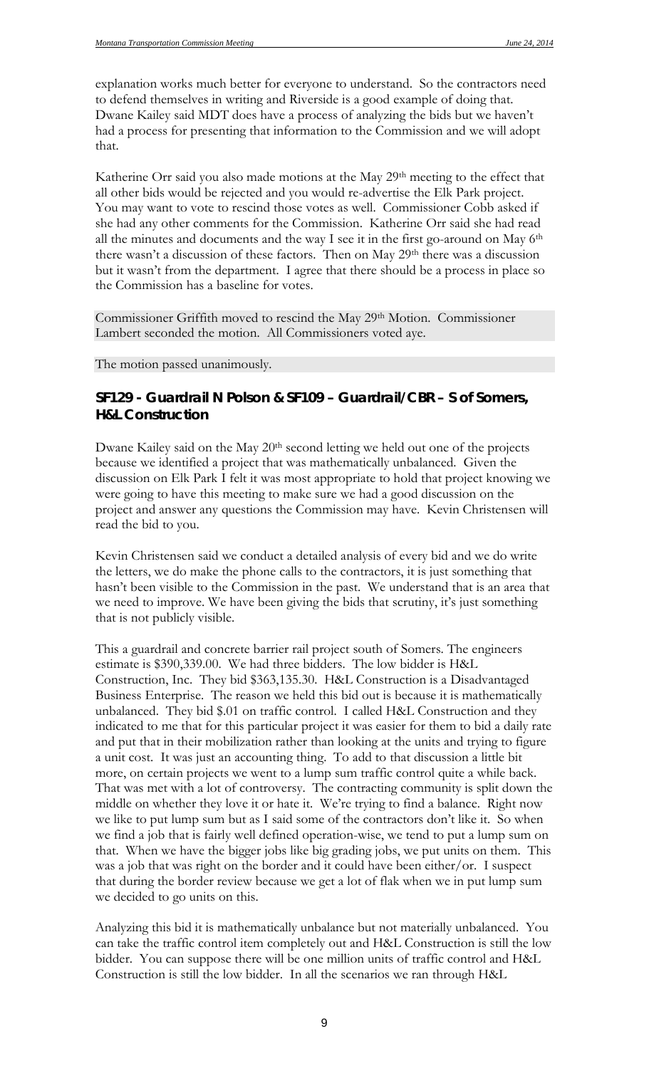explanation works much better for everyone to understand. So the contractors need to defend themselves in writing and Riverside is a good example of doing that. Dwane Kailey said MDT does have a process of analyzing the bids but we haven't had a process for presenting that information to the Commission and we will adopt that.

Katherine Orr said you also made motions at the May 29<sup>th</sup> meeting to the effect that all other bids would be rejected and you would re-advertise the Elk Park project. You may want to vote to rescind those votes as well. Commissioner Cobb asked if she had any other comments for the Commission. Katherine Orr said she had read all the minutes and documents and the way I see it in the first go-around on May 6th there wasn't a discussion of these factors. Then on May 29th there was a discussion but it wasn't from the department. I agree that there should be a process in place so the Commission has a baseline for votes.

Commissioner Griffith moved to rescind the May 29th Motion. Commissioner Lambert seconded the motion. All Commissioners voted aye.

The motion passed unanimously.

### *SF129 - Guardrail N Polson & SF109 – Guardrail/CBR – S of Somers, H&L Construction*

Dwane Kailey said on the May 20<sup>th</sup> second letting we held out one of the projects because we identified a project that was mathematically unbalanced. Given the discussion on Elk Park I felt it was most appropriate to hold that project knowing we were going to have this meeting to make sure we had a good discussion on the project and answer any questions the Commission may have. Kevin Christensen will read the bid to you.

Kevin Christensen said we conduct a detailed analysis of every bid and we do write the letters, we do make the phone calls to the contractors, it is just something that hasn't been visible to the Commission in the past. We understand that is an area that we need to improve. We have been giving the bids that scrutiny, it's just something that is not publicly visible.

This a guardrail and concrete barrier rail project south of Somers. The engineers estimate is \$390,339.00. We had three bidders. The low bidder is H&L Construction, Inc. They bid \$363,135.30. H&L Construction is a Disadvantaged Business Enterprise. The reason we held this bid out is because it is mathematically unbalanced. They bid \$.01 on traffic control. I called H&L Construction and they indicated to me that for this particular project it was easier for them to bid a daily rate and put that in their mobilization rather than looking at the units and trying to figure a unit cost. It was just an accounting thing. To add to that discussion a little bit more, on certain projects we went to a lump sum traffic control quite a while back. That was met with a lot of controversy. The contracting community is split down the middle on whether they love it or hate it. We're trying to find a balance. Right now we like to put lump sum but as I said some of the contractors don't like it. So when we find a job that is fairly well defined operation-wise, we tend to put a lump sum on that. When we have the bigger jobs like big grading jobs, we put units on them. This was a job that was right on the border and it could have been either/or. I suspect that during the border review because we get a lot of flak when we in put lump sum we decided to go units on this.

Analyzing this bid it is mathematically unbalance but not materially unbalanced. You can take the traffic control item completely out and H&L Construction is still the low bidder. You can suppose there will be one million units of traffic control and H&L Construction is still the low bidder. In all the scenarios we ran through H&L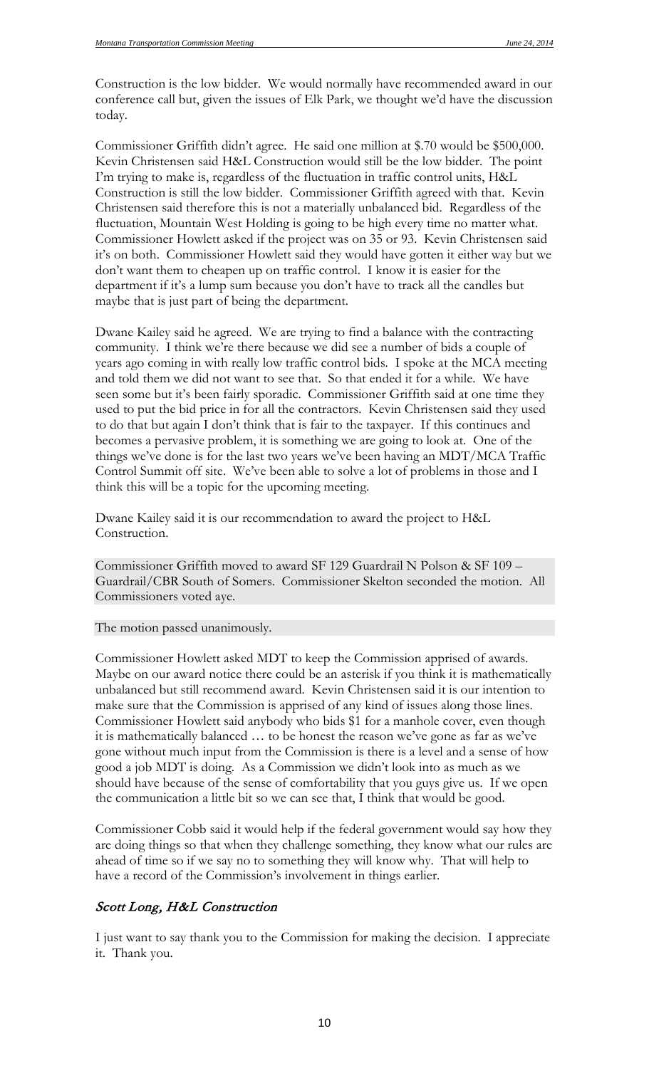Construction is the low bidder. We would normally have recommended award in our conference call but, given the issues of Elk Park, we thought we'd have the discussion today.

Commissioner Griffith didn't agree. He said one million at \$.70 would be \$500,000. Kevin Christensen said H&L Construction would still be the low bidder. The point I'm trying to make is, regardless of the fluctuation in traffic control units, H&L Construction is still the low bidder. Commissioner Griffith agreed with that. Kevin Christensen said therefore this is not a materially unbalanced bid. Regardless of the fluctuation, Mountain West Holding is going to be high every time no matter what. Commissioner Howlett asked if the project was on 35 or 93. Kevin Christensen said it's on both. Commissioner Howlett said they would have gotten it either way but we don't want them to cheapen up on traffic control. I know it is easier for the department if it's a lump sum because you don't have to track all the candles but maybe that is just part of being the department.

Dwane Kailey said he agreed. We are trying to find a balance with the contracting community. I think we're there because we did see a number of bids a couple of years ago coming in with really low traffic control bids. I spoke at the MCA meeting and told them we did not want to see that. So that ended it for a while. We have seen some but it's been fairly sporadic. Commissioner Griffith said at one time they used to put the bid price in for all the contractors. Kevin Christensen said they used to do that but again I don't think that is fair to the taxpayer. If this continues and becomes a pervasive problem, it is something we are going to look at. One of the things we've done is for the last two years we've been having an MDT/MCA Traffic Control Summit off site. We've been able to solve a lot of problems in those and I think this will be a topic for the upcoming meeting.

Dwane Kailey said it is our recommendation to award the project to H&L Construction.

Commissioner Griffith moved to award SF 129 Guardrail N Polson & SF 109 – Guardrail/CBR South of Somers. Commissioner Skelton seconded the motion. All Commissioners voted aye.

The motion passed unanimously.

Commissioner Howlett asked MDT to keep the Commission apprised of awards. Maybe on our award notice there could be an asterisk if you think it is mathematically unbalanced but still recommend award. Kevin Christensen said it is our intention to make sure that the Commission is apprised of any kind of issues along those lines. Commissioner Howlett said anybody who bids \$1 for a manhole cover, even though it is mathematically balanced … to be honest the reason we've gone as far as we've gone without much input from the Commission is there is a level and a sense of how good a job MDT is doing. As a Commission we didn't look into as much as we should have because of the sense of comfortability that you guys give us. If we open the communication a little bit so we can see that, I think that would be good.

Commissioner Cobb said it would help if the federal government would say how they are doing things so that when they challenge something, they know what our rules are ahead of time so if we say no to something they will know why. That will help to have a record of the Commission's involvement in things earlier.

### Scott Long, H&L Construction

I just want to say thank you to the Commission for making the decision. I appreciate it. Thank you.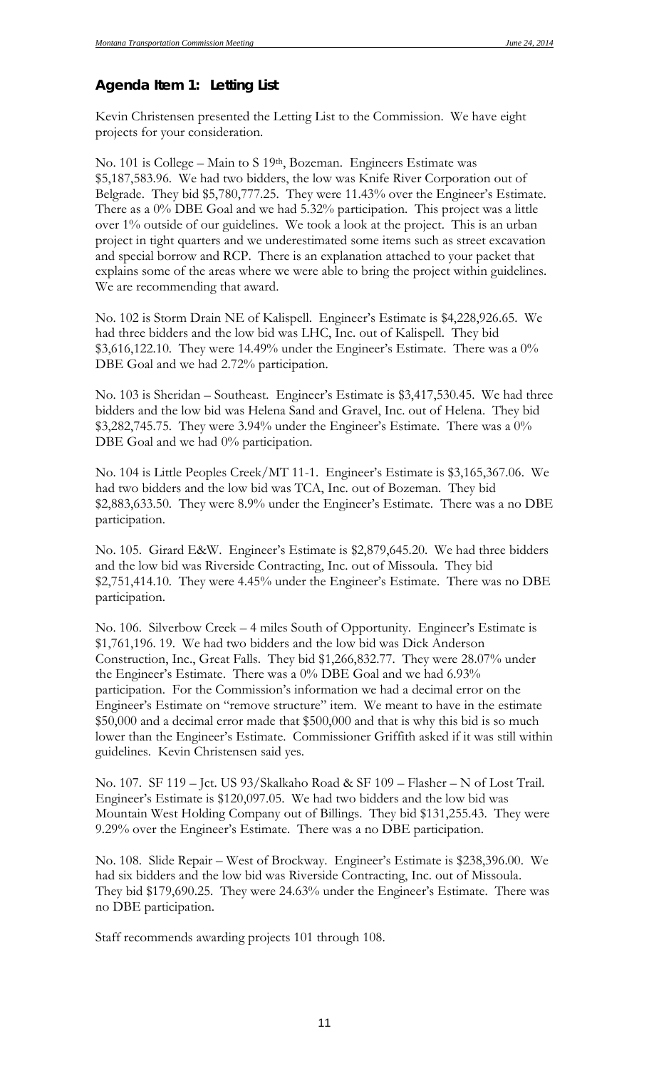### *Agenda Item 1: Letting List*

Kevin Christensen presented the Letting List to the Commission. We have eight projects for your consideration.

No. 101 is College – Main to S 19<sup>th</sup>, Bozeman. Engineers Estimate was \$5,187,583.96. We had two bidders, the low was Knife River Corporation out of Belgrade. They bid \$5,780,777.25. They were 11.43% over the Engineer's Estimate. There as a 0% DBE Goal and we had 5.32% participation. This project was a little over 1% outside of our guidelines. We took a look at the project. This is an urban project in tight quarters and we underestimated some items such as street excavation and special borrow and RCP. There is an explanation attached to your packet that explains some of the areas where we were able to bring the project within guidelines. We are recommending that award.

No. 102 is Storm Drain NE of Kalispell. Engineer's Estimate is \$4,228,926.65. We had three bidders and the low bid was LHC, Inc. out of Kalispell. They bid  $$3,616,122.10$ . They were 14.49% under the Engineer's Estimate. There was a 0% DBE Goal and we had 2.72% participation.

No. 103 is Sheridan – Southeast. Engineer's Estimate is \$3,417,530.45. We had three bidders and the low bid was Helena Sand and Gravel, Inc. out of Helena. They bid \$3,282,745.75. They were 3.94% under the Engineer's Estimate. There was a 0% DBE Goal and we had 0% participation.

No. 104 is Little Peoples Creek/MT 11-1. Engineer's Estimate is \$3,165,367.06. We had two bidders and the low bid was TCA, Inc. out of Bozeman. They bid \$2,883,633.50. They were 8.9% under the Engineer's Estimate. There was a no DBE participation.

No. 105. Girard E&W. Engineer's Estimate is \$2,879,645.20. We had three bidders and the low bid was Riverside Contracting, Inc. out of Missoula. They bid \$2,751,414.10. They were 4.45% under the Engineer's Estimate. There was no DBE participation.

No. 106. Silverbow Creek – 4 miles South of Opportunity. Engineer's Estimate is \$1,761,196. 19. We had two bidders and the low bid was Dick Anderson Construction, Inc., Great Falls. They bid \$1,266,832.77. They were 28.07% under the Engineer's Estimate. There was a 0% DBE Goal and we had 6.93% participation. For the Commission's information we had a decimal error on the Engineer's Estimate on "remove structure" item. We meant to have in the estimate \$50,000 and a decimal error made that \$500,000 and that is why this bid is so much lower than the Engineer's Estimate. Commissioner Griffith asked if it was still within guidelines. Kevin Christensen said yes.

No. 107. SF 119 – Jct. US 93/Skalkaho Road & SF 109 – Flasher – N of Lost Trail. Engineer's Estimate is \$120,097.05. We had two bidders and the low bid was Mountain West Holding Company out of Billings. They bid \$131,255.43. They were 9.29% over the Engineer's Estimate. There was a no DBE participation.

No. 108. Slide Repair – West of Brockway. Engineer's Estimate is \$238,396.00. We had six bidders and the low bid was Riverside Contracting, Inc. out of Missoula. They bid \$179,690.25. They were 24.63% under the Engineer's Estimate. There was no DBE participation.

Staff recommends awarding projects 101 through 108.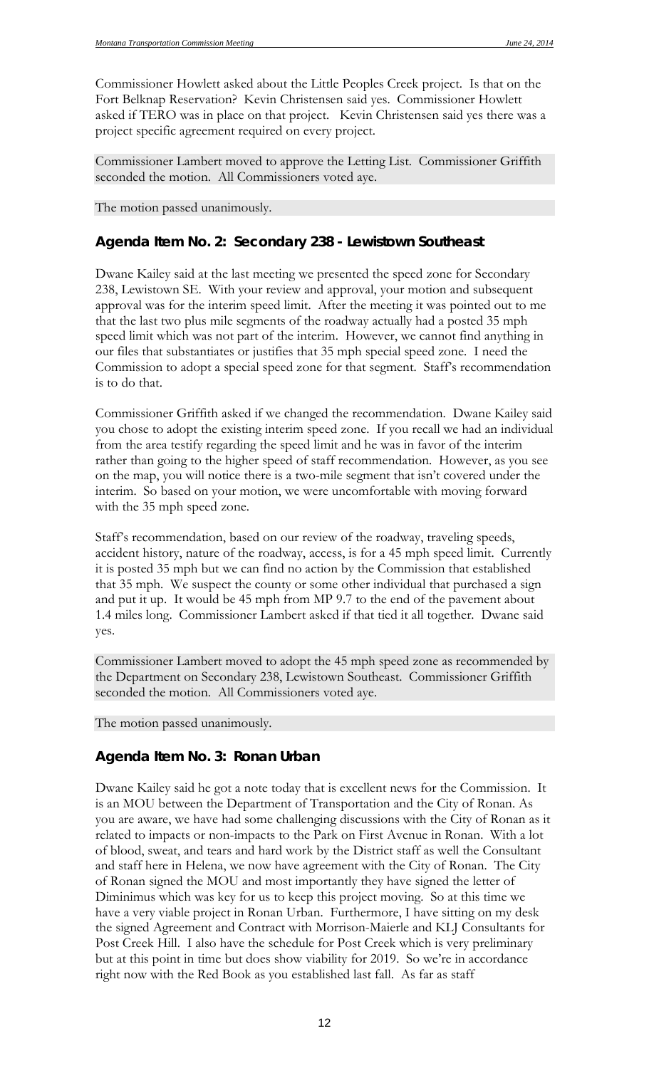Commissioner Howlett asked about the Little Peoples Creek project. Is that on the Fort Belknap Reservation? Kevin Christensen said yes. Commissioner Howlett asked if TERO was in place on that project. Kevin Christensen said yes there was a project specific agreement required on every project.

Commissioner Lambert moved to approve the Letting List. Commissioner Griffith seconded the motion. All Commissioners voted aye.

The motion passed unanimously.

### *Agenda Item No. 2: Secondary 238 - Lewistown Southeast*

Dwane Kailey said at the last meeting we presented the speed zone for Secondary 238, Lewistown SE. With your review and approval, your motion and subsequent approval was for the interim speed limit. After the meeting it was pointed out to me that the last two plus mile segments of the roadway actually had a posted 35 mph speed limit which was not part of the interim. However, we cannot find anything in our files that substantiates or justifies that 35 mph special speed zone. I need the Commission to adopt a special speed zone for that segment. Staff's recommendation is to do that.

Commissioner Griffith asked if we changed the recommendation. Dwane Kailey said you chose to adopt the existing interim speed zone. If you recall we had an individual from the area testify regarding the speed limit and he was in favor of the interim rather than going to the higher speed of staff recommendation. However, as you see on the map, you will notice there is a two-mile segment that isn't covered under the interim. So based on your motion, we were uncomfortable with moving forward with the 35 mph speed zone.

Staff's recommendation, based on our review of the roadway, traveling speeds, accident history, nature of the roadway, access, is for a 45 mph speed limit. Currently it is posted 35 mph but we can find no action by the Commission that established that 35 mph. We suspect the county or some other individual that purchased a sign and put it up. It would be 45 mph from MP 9.7 to the end of the pavement about 1.4 miles long. Commissioner Lambert asked if that tied it all together. Dwane said yes.

Commissioner Lambert moved to adopt the 45 mph speed zone as recommended by the Department on Secondary 238, Lewistown Southeast. Commissioner Griffith seconded the motion. All Commissioners voted aye.

The motion passed unanimously.

### *Agenda Item No. 3: Ronan Urban*

Dwane Kailey said he got a note today that is excellent news for the Commission. It is an MOU between the Department of Transportation and the City of Ronan. As you are aware, we have had some challenging discussions with the City of Ronan as it related to impacts or non-impacts to the Park on First Avenue in Ronan. With a lot of blood, sweat, and tears and hard work by the District staff as well the Consultant and staff here in Helena, we now have agreement with the City of Ronan. The City of Ronan signed the MOU and most importantly they have signed the letter of Diminimus which was key for us to keep this project moving. So at this time we have a very viable project in Ronan Urban. Furthermore, I have sitting on my desk the signed Agreement and Contract with Morrison-Maierle and KLJ Consultants for Post Creek Hill. I also have the schedule for Post Creek which is very preliminary but at this point in time but does show viability for 2019. So we're in accordance right now with the Red Book as you established last fall. As far as staff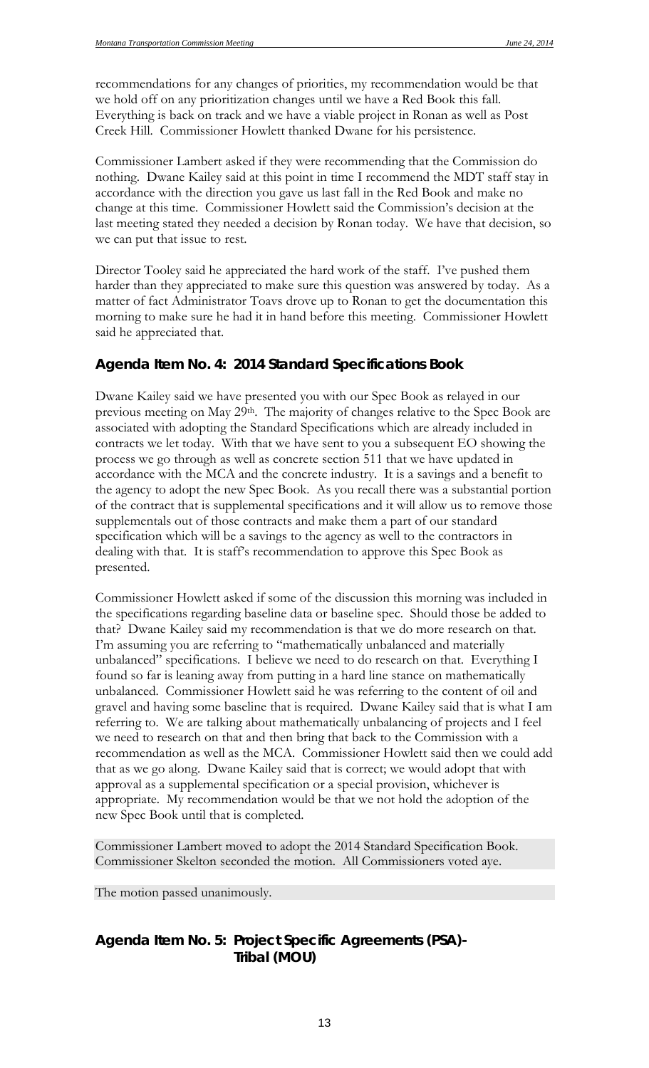recommendations for any changes of priorities, my recommendation would be that we hold off on any prioritization changes until we have a Red Book this fall. Everything is back on track and we have a viable project in Ronan as well as Post Creek Hill. Commissioner Howlett thanked Dwane for his persistence.

Commissioner Lambert asked if they were recommending that the Commission do nothing. Dwane Kailey said at this point in time I recommend the MDT staff stay in accordance with the direction you gave us last fall in the Red Book and make no change at this time. Commissioner Howlett said the Commission's decision at the last meeting stated they needed a decision by Ronan today. We have that decision, so we can put that issue to rest.

Director Tooley said he appreciated the hard work of the staff. I've pushed them harder than they appreciated to make sure this question was answered by today. As a matter of fact Administrator Toavs drove up to Ronan to get the documentation this morning to make sure he had it in hand before this meeting. Commissioner Howlett said he appreciated that.

### *Agenda Item No. 4: 2014 Standard Specifications Book*

Dwane Kailey said we have presented you with our Spec Book as relayed in our previous meeting on May 29<sup>th</sup>. The majority of changes relative to the Spec Book are associated with adopting the Standard Specifications which are already included in contracts we let today. With that we have sent to you a subsequent EO showing the process we go through as well as concrete section 511 that we have updated in accordance with the MCA and the concrete industry. It is a savings and a benefit to the agency to adopt the new Spec Book. As you recall there was a substantial portion of the contract that is supplemental specifications and it will allow us to remove those supplementals out of those contracts and make them a part of our standard specification which will be a savings to the agency as well to the contractors in dealing with that. It is staff's recommendation to approve this Spec Book as presented.

Commissioner Howlett asked if some of the discussion this morning was included in the specifications regarding baseline data or baseline spec. Should those be added to that? Dwane Kailey said my recommendation is that we do more research on that. I'm assuming you are referring to "mathematically unbalanced and materially unbalanced" specifications. I believe we need to do research on that. Everything I found so far is leaning away from putting in a hard line stance on mathematically unbalanced. Commissioner Howlett said he was referring to the content of oil and gravel and having some baseline that is required. Dwane Kailey said that is what I am referring to. We are talking about mathematically unbalancing of projects and I feel we need to research on that and then bring that back to the Commission with a recommendation as well as the MCA. Commissioner Howlett said then we could add that as we go along. Dwane Kailey said that is correct; we would adopt that with approval as a supplemental specification or a special provision, whichever is appropriate. My recommendation would be that we not hold the adoption of the new Spec Book until that is completed.

Commissioner Lambert moved to adopt the 2014 Standard Specification Book. Commissioner Skelton seconded the motion. All Commissioners voted aye.

The motion passed unanimously.

## *Agenda Item No. 5: Project Specific Agreements (PSA)- Tribal (MOU)*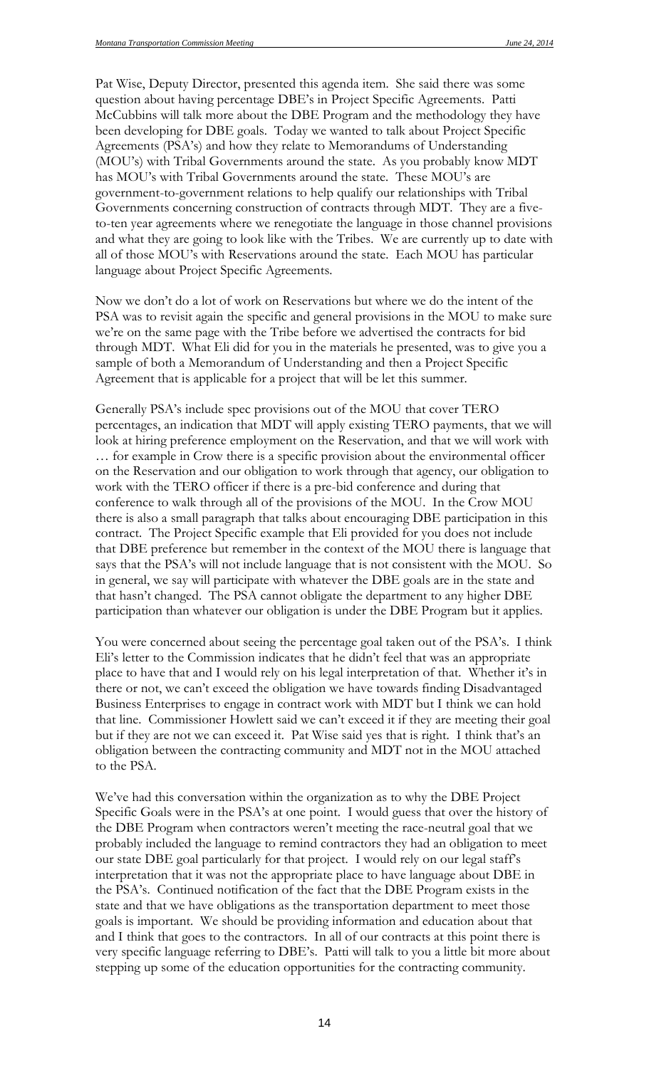Pat Wise, Deputy Director, presented this agenda item. She said there was some question about having percentage DBE's in Project Specific Agreements. Patti McCubbins will talk more about the DBE Program and the methodology they have been developing for DBE goals. Today we wanted to talk about Project Specific Agreements (PSA's) and how they relate to Memorandums of Understanding (MOU's) with Tribal Governments around the state. As you probably know MDT has MOU's with Tribal Governments around the state. These MOU's are government-to-government relations to help qualify our relationships with Tribal Governments concerning construction of contracts through MDT. They are a fiveto-ten year agreements where we renegotiate the language in those channel provisions and what they are going to look like with the Tribes. We are currently up to date with all of those MOU's with Reservations around the state. Each MOU has particular language about Project Specific Agreements.

Now we don't do a lot of work on Reservations but where we do the intent of the PSA was to revisit again the specific and general provisions in the MOU to make sure we're on the same page with the Tribe before we advertised the contracts for bid through MDT. What Eli did for you in the materials he presented, was to give you a sample of both a Memorandum of Understanding and then a Project Specific Agreement that is applicable for a project that will be let this summer.

Generally PSA's include spec provisions out of the MOU that cover TERO percentages, an indication that MDT will apply existing TERO payments, that we will look at hiring preference employment on the Reservation, and that we will work with … for example in Crow there is a specific provision about the environmental officer on the Reservation and our obligation to work through that agency, our obligation to work with the TERO officer if there is a pre-bid conference and during that conference to walk through all of the provisions of the MOU. In the Crow MOU there is also a small paragraph that talks about encouraging DBE participation in this contract. The Project Specific example that Eli provided for you does not include that DBE preference but remember in the context of the MOU there is language that says that the PSA's will not include language that is not consistent with the MOU. So in general, we say will participate with whatever the DBE goals are in the state and that hasn't changed. The PSA cannot obligate the department to any higher DBE participation than whatever our obligation is under the DBE Program but it applies.

You were concerned about seeing the percentage goal taken out of the PSA's. I think Eli's letter to the Commission indicates that he didn't feel that was an appropriate place to have that and I would rely on his legal interpretation of that. Whether it's in there or not, we can't exceed the obligation we have towards finding Disadvantaged Business Enterprises to engage in contract work with MDT but I think we can hold that line. Commissioner Howlett said we can't exceed it if they are meeting their goal but if they are not we can exceed it. Pat Wise said yes that is right. I think that's an obligation between the contracting community and MDT not in the MOU attached to the PSA.

We've had this conversation within the organization as to why the DBE Project Specific Goals were in the PSA's at one point. I would guess that over the history of the DBE Program when contractors weren't meeting the race-neutral goal that we probably included the language to remind contractors they had an obligation to meet our state DBE goal particularly for that project. I would rely on our legal staff's interpretation that it was not the appropriate place to have language about DBE in the PSA's. Continued notification of the fact that the DBE Program exists in the state and that we have obligations as the transportation department to meet those goals is important. We should be providing information and education about that and I think that goes to the contractors. In all of our contracts at this point there is very specific language referring to DBE's. Patti will talk to you a little bit more about stepping up some of the education opportunities for the contracting community.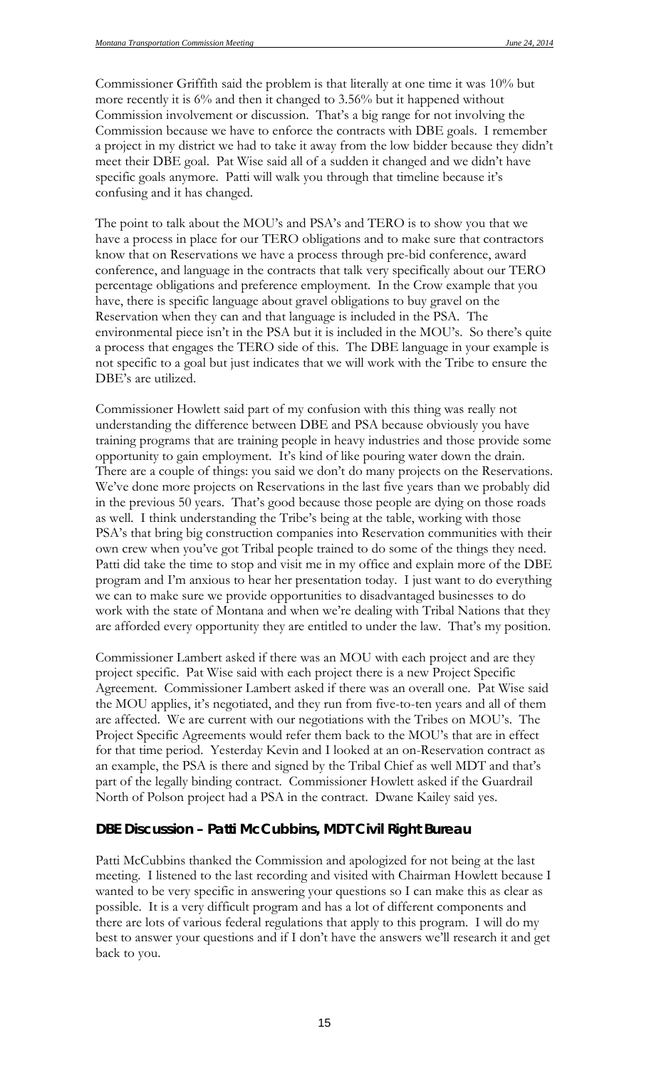Commissioner Griffith said the problem is that literally at one time it was 10% but more recently it is 6% and then it changed to 3.56% but it happened without Commission involvement or discussion. That's a big range for not involving the Commission because we have to enforce the contracts with DBE goals. I remember a project in my district we had to take it away from the low bidder because they didn't meet their DBE goal. Pat Wise said all of a sudden it changed and we didn't have specific goals anymore. Patti will walk you through that timeline because it's confusing and it has changed.

The point to talk about the MOU's and PSA's and TERO is to show you that we have a process in place for our TERO obligations and to make sure that contractors know that on Reservations we have a process through pre-bid conference, award conference, and language in the contracts that talk very specifically about our TERO percentage obligations and preference employment. In the Crow example that you have, there is specific language about gravel obligations to buy gravel on the Reservation when they can and that language is included in the PSA. The environmental piece isn't in the PSA but it is included in the MOU's. So there's quite a process that engages the TERO side of this. The DBE language in your example is not specific to a goal but just indicates that we will work with the Tribe to ensure the DBE's are utilized.

Commissioner Howlett said part of my confusion with this thing was really not understanding the difference between DBE and PSA because obviously you have training programs that are training people in heavy industries and those provide some opportunity to gain employment. It's kind of like pouring water down the drain. There are a couple of things: you said we don't do many projects on the Reservations. We've done more projects on Reservations in the last five years than we probably did in the previous 50 years. That's good because those people are dying on those roads as well. I think understanding the Tribe's being at the table, working with those PSA's that bring big construction companies into Reservation communities with their own crew when you've got Tribal people trained to do some of the things they need. Patti did take the time to stop and visit me in my office and explain more of the DBE program and I'm anxious to hear her presentation today. I just want to do everything we can to make sure we provide opportunities to disadvantaged businesses to do work with the state of Montana and when we're dealing with Tribal Nations that they are afforded every opportunity they are entitled to under the law. That's my position.

Commissioner Lambert asked if there was an MOU with each project and are they project specific. Pat Wise said with each project there is a new Project Specific Agreement. Commissioner Lambert asked if there was an overall one. Pat Wise said the MOU applies, it's negotiated, and they run from five-to-ten years and all of them are affected. We are current with our negotiations with the Tribes on MOU's. The Project Specific Agreements would refer them back to the MOU's that are in effect for that time period. Yesterday Kevin and I looked at an on-Reservation contract as an example, the PSA is there and signed by the Tribal Chief as well MDT and that's part of the legally binding contract. Commissioner Howlett asked if the Guardrail North of Polson project had a PSA in the contract. Dwane Kailey said yes.

#### *DBE Discussion – Patti McCubbins, MDT Civil Right Bureau*

Patti McCubbins thanked the Commission and apologized for not being at the last meeting. I listened to the last recording and visited with Chairman Howlett because I wanted to be very specific in answering your questions so I can make this as clear as possible. It is a very difficult program and has a lot of different components and there are lots of various federal regulations that apply to this program. I will do my best to answer your questions and if I don't have the answers we'll research it and get back to you.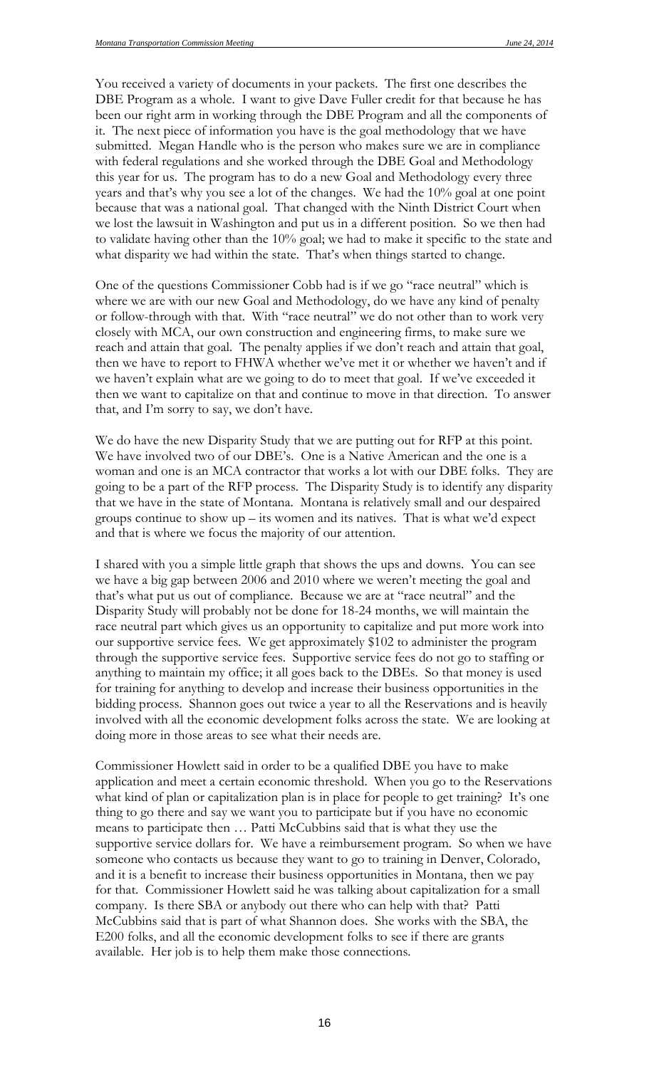You received a variety of documents in your packets. The first one describes the DBE Program as a whole. I want to give Dave Fuller credit for that because he has been our right arm in working through the DBE Program and all the components of it. The next piece of information you have is the goal methodology that we have submitted. Megan Handle who is the person who makes sure we are in compliance with federal regulations and she worked through the DBE Goal and Methodology this year for us. The program has to do a new Goal and Methodology every three years and that's why you see a lot of the changes. We had the 10% goal at one point because that was a national goal. That changed with the Ninth District Court when we lost the lawsuit in Washington and put us in a different position. So we then had to validate having other than the 10% goal; we had to make it specific to the state and what disparity we had within the state. That's when things started to change.

One of the questions Commissioner Cobb had is if we go "race neutral" which is where we are with our new Goal and Methodology, do we have any kind of penalty or follow-through with that. With "race neutral" we do not other than to work very closely with MCA, our own construction and engineering firms, to make sure we reach and attain that goal. The penalty applies if we don't reach and attain that goal, then we have to report to FHWA whether we've met it or whether we haven't and if we haven't explain what are we going to do to meet that goal. If we've exceeded it then we want to capitalize on that and continue to move in that direction. To answer that, and I'm sorry to say, we don't have.

We do have the new Disparity Study that we are putting out for RFP at this point. We have involved two of our DBE's. One is a Native American and the one is a woman and one is an MCA contractor that works a lot with our DBE folks. They are going to be a part of the RFP process. The Disparity Study is to identify any disparity that we have in the state of Montana. Montana is relatively small and our despaired groups continue to show up – its women and its natives. That is what we'd expect and that is where we focus the majority of our attention.

I shared with you a simple little graph that shows the ups and downs. You can see we have a big gap between 2006 and 2010 where we weren't meeting the goal and that's what put us out of compliance. Because we are at "race neutral" and the Disparity Study will probably not be done for 18-24 months, we will maintain the race neutral part which gives us an opportunity to capitalize and put more work into our supportive service fees. We get approximately \$102 to administer the program through the supportive service fees. Supportive service fees do not go to staffing or anything to maintain my office; it all goes back to the DBEs. So that money is used for training for anything to develop and increase their business opportunities in the bidding process. Shannon goes out twice a year to all the Reservations and is heavily involved with all the economic development folks across the state. We are looking at doing more in those areas to see what their needs are.

Commissioner Howlett said in order to be a qualified DBE you have to make application and meet a certain economic threshold. When you go to the Reservations what kind of plan or capitalization plan is in place for people to get training? It's one thing to go there and say we want you to participate but if you have no economic means to participate then … Patti McCubbins said that is what they use the supportive service dollars for. We have a reimbursement program. So when we have someone who contacts us because they want to go to training in Denver, Colorado, and it is a benefit to increase their business opportunities in Montana, then we pay for that. Commissioner Howlett said he was talking about capitalization for a small company. Is there SBA or anybody out there who can help with that? Patti McCubbins said that is part of what Shannon does. She works with the SBA, the E200 folks, and all the economic development folks to see if there are grants available. Her job is to help them make those connections.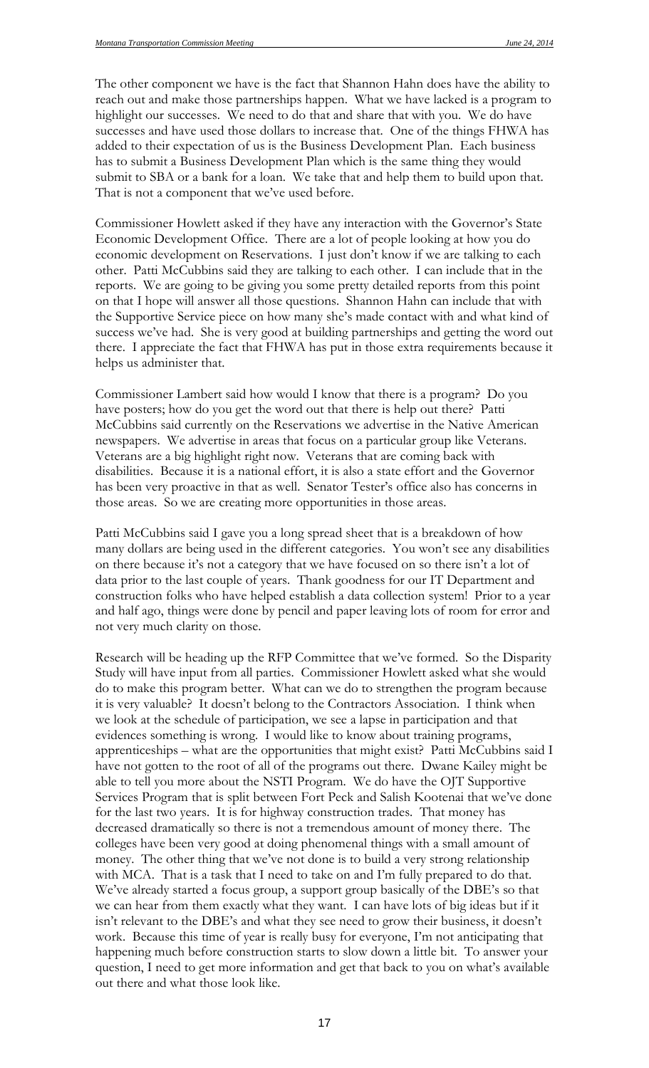The other component we have is the fact that Shannon Hahn does have the ability to reach out and make those partnerships happen. What we have lacked is a program to highlight our successes. We need to do that and share that with you. We do have successes and have used those dollars to increase that. One of the things FHWA has added to their expectation of us is the Business Development Plan. Each business has to submit a Business Development Plan which is the same thing they would submit to SBA or a bank for a loan. We take that and help them to build upon that. That is not a component that we've used before.

Commissioner Howlett asked if they have any interaction with the Governor's State Economic Development Office. There are a lot of people looking at how you do economic development on Reservations. I just don't know if we are talking to each other. Patti McCubbins said they are talking to each other. I can include that in the reports. We are going to be giving you some pretty detailed reports from this point on that I hope will answer all those questions. Shannon Hahn can include that with the Supportive Service piece on how many she's made contact with and what kind of success we've had. She is very good at building partnerships and getting the word out there. I appreciate the fact that FHWA has put in those extra requirements because it helps us administer that.

Commissioner Lambert said how would I know that there is a program? Do you have posters; how do you get the word out that there is help out there? Patti McCubbins said currently on the Reservations we advertise in the Native American newspapers. We advertise in areas that focus on a particular group like Veterans. Veterans are a big highlight right now. Veterans that are coming back with disabilities. Because it is a national effort, it is also a state effort and the Governor has been very proactive in that as well. Senator Tester's office also has concerns in those areas. So we are creating more opportunities in those areas.

Patti McCubbins said I gave you a long spread sheet that is a breakdown of how many dollars are being used in the different categories. You won't see any disabilities on there because it's not a category that we have focused on so there isn't a lot of data prior to the last couple of years. Thank goodness for our IT Department and construction folks who have helped establish a data collection system! Prior to a year and half ago, things were done by pencil and paper leaving lots of room for error and not very much clarity on those.

Research will be heading up the RFP Committee that we've formed. So the Disparity Study will have input from all parties. Commissioner Howlett asked what she would do to make this program better. What can we do to strengthen the program because it is very valuable? It doesn't belong to the Contractors Association. I think when we look at the schedule of participation, we see a lapse in participation and that evidences something is wrong. I would like to know about training programs, apprenticeships – what are the opportunities that might exist? Patti McCubbins said I have not gotten to the root of all of the programs out there. Dwane Kailey might be able to tell you more about the NSTI Program. We do have the OJT Supportive Services Program that is split between Fort Peck and Salish Kootenai that we've done for the last two years. It is for highway construction trades. That money has decreased dramatically so there is not a tremendous amount of money there. The colleges have been very good at doing phenomenal things with a small amount of money. The other thing that we've not done is to build a very strong relationship with MCA. That is a task that I need to take on and I'm fully prepared to do that. We've already started a focus group, a support group basically of the DBE's so that we can hear from them exactly what they want. I can have lots of big ideas but if it isn't relevant to the DBE's and what they see need to grow their business, it doesn't work. Because this time of year is really busy for everyone, I'm not anticipating that happening much before construction starts to slow down a little bit. To answer your question, I need to get more information and get that back to you on what's available out there and what those look like.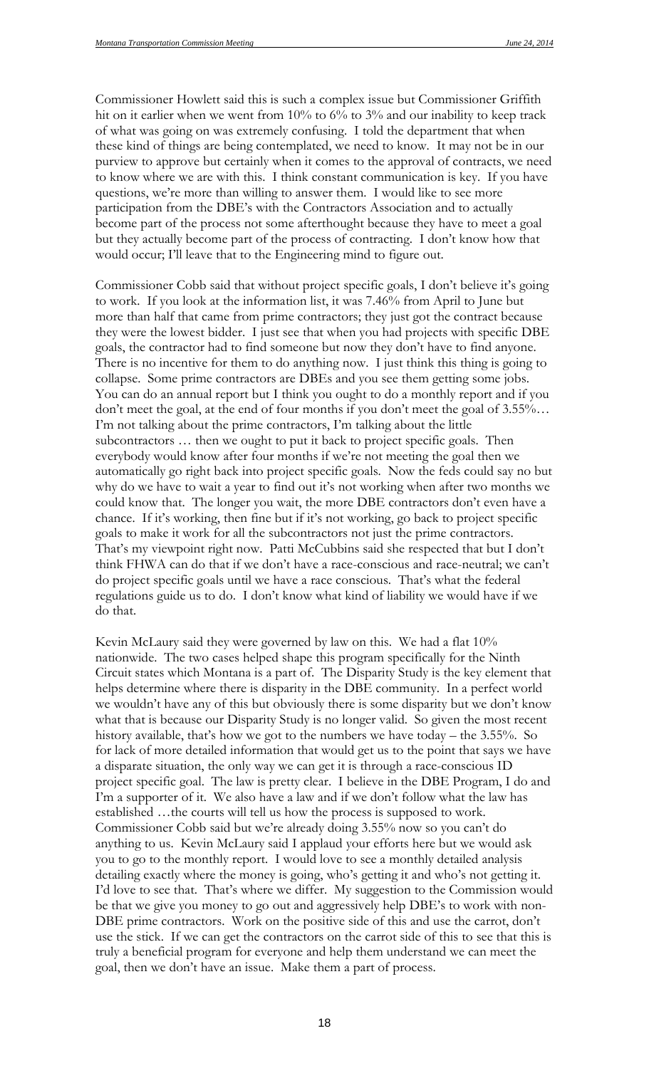Commissioner Howlett said this is such a complex issue but Commissioner Griffith hit on it earlier when we went from 10% to 6% to 3% and our inability to keep track of what was going on was extremely confusing. I told the department that when these kind of things are being contemplated, we need to know. It may not be in our purview to approve but certainly when it comes to the approval of contracts, we need to know where we are with this. I think constant communication is key. If you have questions, we're more than willing to answer them. I would like to see more participation from the DBE's with the Contractors Association and to actually become part of the process not some afterthought because they have to meet a goal but they actually become part of the process of contracting. I don't know how that would occur; I'll leave that to the Engineering mind to figure out.

Commissioner Cobb said that without project specific goals, I don't believe it's going to work. If you look at the information list, it was 7.46% from April to June but more than half that came from prime contractors; they just got the contract because they were the lowest bidder. I just see that when you had projects with specific DBE goals, the contractor had to find someone but now they don't have to find anyone. There is no incentive for them to do anything now. I just think this thing is going to collapse. Some prime contractors are DBEs and you see them getting some jobs. You can do an annual report but I think you ought to do a monthly report and if you don't meet the goal, at the end of four months if you don't meet the goal of 3.55%… I'm not talking about the prime contractors, I'm talking about the little subcontractors … then we ought to put it back to project specific goals. Then everybody would know after four months if we're not meeting the goal then we automatically go right back into project specific goals. Now the feds could say no but why do we have to wait a year to find out it's not working when after two months we could know that. The longer you wait, the more DBE contractors don't even have a chance. If it's working, then fine but if it's not working, go back to project specific goals to make it work for all the subcontractors not just the prime contractors. That's my viewpoint right now. Patti McCubbins said she respected that but I don't think FHWA can do that if we don't have a race-conscious and race-neutral; we can't do project specific goals until we have a race conscious. That's what the federal regulations guide us to do. I don't know what kind of liability we would have if we do that.

Kevin McLaury said they were governed by law on this. We had a flat 10% nationwide. The two cases helped shape this program specifically for the Ninth Circuit states which Montana is a part of. The Disparity Study is the key element that helps determine where there is disparity in the DBE community. In a perfect world we wouldn't have any of this but obviously there is some disparity but we don't know what that is because our Disparity Study is no longer valid. So given the most recent history available, that's how we got to the numbers we have today – the 3.55%. So for lack of more detailed information that would get us to the point that says we have a disparate situation, the only way we can get it is through a race-conscious ID project specific goal. The law is pretty clear. I believe in the DBE Program, I do and I'm a supporter of it. We also have a law and if we don't follow what the law has established …the courts will tell us how the process is supposed to work. Commissioner Cobb said but we're already doing 3.55% now so you can't do anything to us. Kevin McLaury said I applaud your efforts here but we would ask you to go to the monthly report. I would love to see a monthly detailed analysis detailing exactly where the money is going, who's getting it and who's not getting it. I'd love to see that. That's where we differ. My suggestion to the Commission would be that we give you money to go out and aggressively help DBE's to work with non-DBE prime contractors. Work on the positive side of this and use the carrot, don't use the stick. If we can get the contractors on the carrot side of this to see that this is truly a beneficial program for everyone and help them understand we can meet the goal, then we don't have an issue. Make them a part of process.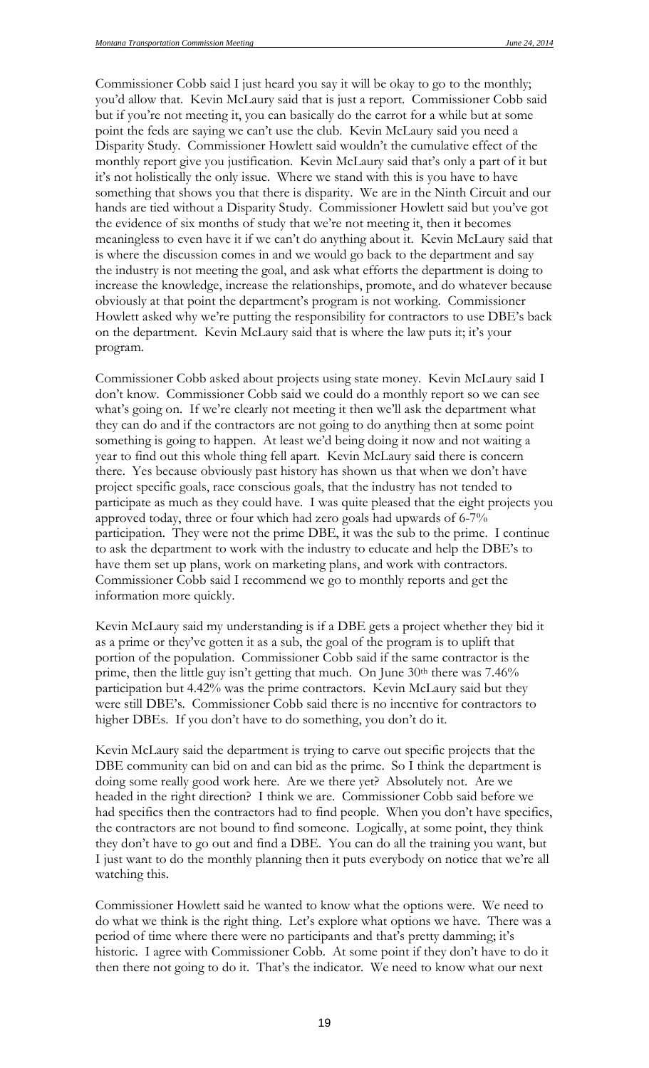Commissioner Cobb said I just heard you say it will be okay to go to the monthly; you'd allow that. Kevin McLaury said that is just a report. Commissioner Cobb said but if you're not meeting it, you can basically do the carrot for a while but at some point the feds are saying we can't use the club. Kevin McLaury said you need a Disparity Study. Commissioner Howlett said wouldn't the cumulative effect of the monthly report give you justification. Kevin McLaury said that's only a part of it but it's not holistically the only issue. Where we stand with this is you have to have something that shows you that there is disparity. We are in the Ninth Circuit and our hands are tied without a Disparity Study. Commissioner Howlett said but you've got the evidence of six months of study that we're not meeting it, then it becomes meaningless to even have it if we can't do anything about it. Kevin McLaury said that is where the discussion comes in and we would go back to the department and say the industry is not meeting the goal, and ask what efforts the department is doing to increase the knowledge, increase the relationships, promote, and do whatever because obviously at that point the department's program is not working. Commissioner Howlett asked why we're putting the responsibility for contractors to use DBE's back on the department. Kevin McLaury said that is where the law puts it; it's your program.

Commissioner Cobb asked about projects using state money. Kevin McLaury said I don't know. Commissioner Cobb said we could do a monthly report so we can see what's going on. If we're clearly not meeting it then we'll ask the department what they can do and if the contractors are not going to do anything then at some point something is going to happen. At least we'd being doing it now and not waiting a year to find out this whole thing fell apart. Kevin McLaury said there is concern there. Yes because obviously past history has shown us that when we don't have project specific goals, race conscious goals, that the industry has not tended to participate as much as they could have. I was quite pleased that the eight projects you approved today, three or four which had zero goals had upwards of 6-7% participation. They were not the prime DBE, it was the sub to the prime. I continue to ask the department to work with the industry to educate and help the DBE's to have them set up plans, work on marketing plans, and work with contractors. Commissioner Cobb said I recommend we go to monthly reports and get the information more quickly.

Kevin McLaury said my understanding is if a DBE gets a project whether they bid it as a prime or they've gotten it as a sub, the goal of the program is to uplift that portion of the population. Commissioner Cobb said if the same contractor is the prime, then the little guy isn't getting that much. On June  $30<sup>th</sup>$  there was  $7.46\%$ participation but 4.42% was the prime contractors. Kevin McLaury said but they were still DBE's. Commissioner Cobb said there is no incentive for contractors to higher DBEs. If you don't have to do something, you don't do it.

Kevin McLaury said the department is trying to carve out specific projects that the DBE community can bid on and can bid as the prime. So I think the department is doing some really good work here. Are we there yet? Absolutely not. Are we headed in the right direction? I think we are. Commissioner Cobb said before we had specifics then the contractors had to find people. When you don't have specifics, the contractors are not bound to find someone. Logically, at some point, they think they don't have to go out and find a DBE. You can do all the training you want, but I just want to do the monthly planning then it puts everybody on notice that we're all watching this.

Commissioner Howlett said he wanted to know what the options were. We need to do what we think is the right thing. Let's explore what options we have. There was a period of time where there were no participants and that's pretty damming; it's historic. I agree with Commissioner Cobb. At some point if they don't have to do it then there not going to do it. That's the indicator. We need to know what our next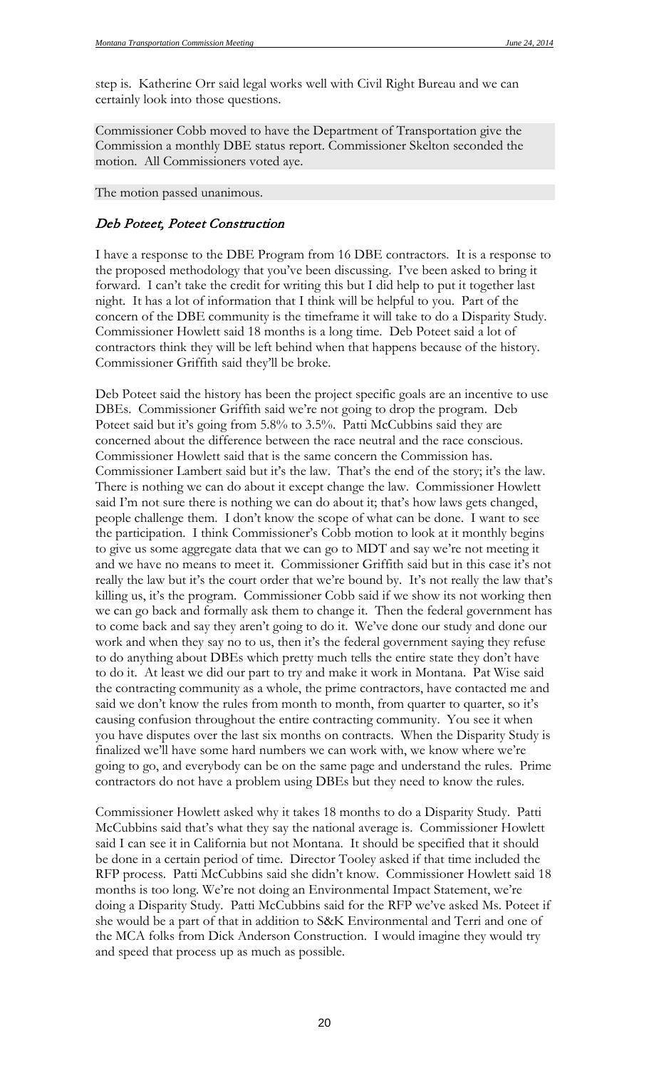step is. Katherine Orr said legal works well with Civil Right Bureau and we can certainly look into those questions.

Commissioner Cobb moved to have the Department of Transportation give the Commission a monthly DBE status report. Commissioner Skelton seconded the motion. All Commissioners voted aye.

The motion passed unanimous.

#### Deb Poteet, Poteet Construction

I have a response to the DBE Program from 16 DBE contractors. It is a response to the proposed methodology that you've been discussing. I've been asked to bring it forward. I can't take the credit for writing this but I did help to put it together last night. It has a lot of information that I think will be helpful to you. Part of the concern of the DBE community is the timeframe it will take to do a Disparity Study. Commissioner Howlett said 18 months is a long time. Deb Poteet said a lot of contractors think they will be left behind when that happens because of the history. Commissioner Griffith said they'll be broke.

Deb Poteet said the history has been the project specific goals are an incentive to use DBEs. Commissioner Griffith said we're not going to drop the program. Deb Poteet said but it's going from 5.8% to 3.5%. Patti McCubbins said they are concerned about the difference between the race neutral and the race conscious. Commissioner Howlett said that is the same concern the Commission has. Commissioner Lambert said but it's the law. That's the end of the story; it's the law. There is nothing we can do about it except change the law. Commissioner Howlett said I'm not sure there is nothing we can do about it; that's how laws gets changed, people challenge them. I don't know the scope of what can be done. I want to see the participation. I think Commissioner's Cobb motion to look at it monthly begins to give us some aggregate data that we can go to MDT and say we're not meeting it and we have no means to meet it. Commissioner Griffith said but in this case it's not really the law but it's the court order that we're bound by. It's not really the law that's killing us, it's the program. Commissioner Cobb said if we show its not working then we can go back and formally ask them to change it. Then the federal government has to come back and say they aren't going to do it. We've done our study and done our work and when they say no to us, then it's the federal government saying they refuse to do anything about DBEs which pretty much tells the entire state they don't have to do it. At least we did our part to try and make it work in Montana. Pat Wise said the contracting community as a whole, the prime contractors, have contacted me and said we don't know the rules from month to month, from quarter to quarter, so it's causing confusion throughout the entire contracting community. You see it when you have disputes over the last six months on contracts. When the Disparity Study is finalized we'll have some hard numbers we can work with, we know where we're going to go, and everybody can be on the same page and understand the rules. Prime contractors do not have a problem using DBEs but they need to know the rules.

Commissioner Howlett asked why it takes 18 months to do a Disparity Study. Patti McCubbins said that's what they say the national average is. Commissioner Howlett said I can see it in California but not Montana. It should be specified that it should be done in a certain period of time. Director Tooley asked if that time included the RFP process. Patti McCubbins said she didn't know. Commissioner Howlett said 18 months is too long. We're not doing an Environmental Impact Statement, we're doing a Disparity Study. Patti McCubbins said for the RFP we've asked Ms. Poteet if she would be a part of that in addition to S&K Environmental and Terri and one of the MCA folks from Dick Anderson Construction. I would imagine they would try and speed that process up as much as possible.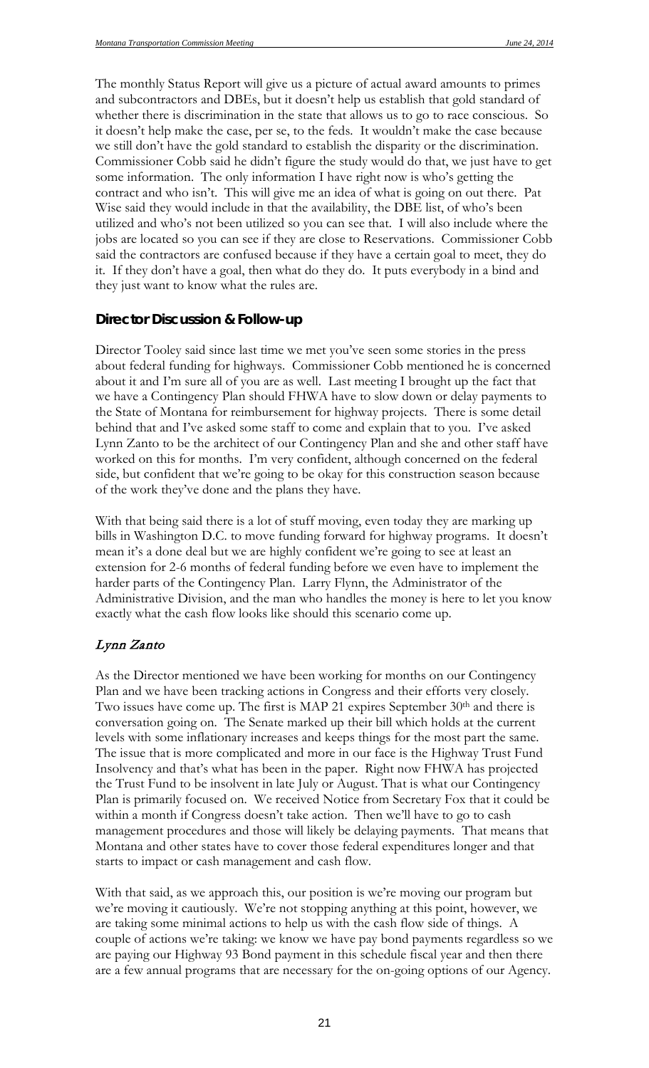The monthly Status Report will give us a picture of actual award amounts to primes and subcontractors and DBEs, but it doesn't help us establish that gold standard of whether there is discrimination in the state that allows us to go to race conscious. So it doesn't help make the case, per se, to the feds. It wouldn't make the case because we still don't have the gold standard to establish the disparity or the discrimination. Commissioner Cobb said he didn't figure the study would do that, we just have to get some information. The only information I have right now is who's getting the contract and who isn't. This will give me an idea of what is going on out there. Pat Wise said they would include in that the availability, the DBE list, of who's been utilized and who's not been utilized so you can see that. I will also include where the jobs are located so you can see if they are close to Reservations. Commissioner Cobb said the contractors are confused because if they have a certain goal to meet, they do it. If they don't have a goal, then what do they do. It puts everybody in a bind and they just want to know what the rules are.

#### **Director Discussion & Follow-up**

Director Tooley said since last time we met you've seen some stories in the press about federal funding for highways. Commissioner Cobb mentioned he is concerned about it and I'm sure all of you are as well. Last meeting I brought up the fact that we have a Contingency Plan should FHWA have to slow down or delay payments to the State of Montana for reimbursement for highway projects. There is some detail behind that and I've asked some staff to come and explain that to you. I've asked Lynn Zanto to be the architect of our Contingency Plan and she and other staff have worked on this for months. I'm very confident, although concerned on the federal side, but confident that we're going to be okay for this construction season because of the work they've done and the plans they have.

With that being said there is a lot of stuff moving, even today they are marking up bills in Washington D.C. to move funding forward for highway programs. It doesn't mean it's a done deal but we are highly confident we're going to see at least an extension for 2-6 months of federal funding before we even have to implement the harder parts of the Contingency Plan. Larry Flynn, the Administrator of the Administrative Division, and the man who handles the money is here to let you know exactly what the cash flow looks like should this scenario come up.

### Lynn Zanto

As the Director mentioned we have been working for months on our Contingency Plan and we have been tracking actions in Congress and their efforts very closely. Two issues have come up. The first is MAP 21 expires September 30<sup>th</sup> and there is conversation going on. The Senate marked up their bill which holds at the current levels with some inflationary increases and keeps things for the most part the same. The issue that is more complicated and more in our face is the Highway Trust Fund Insolvency and that's what has been in the paper. Right now FHWA has projected the Trust Fund to be insolvent in late July or August. That is what our Contingency Plan is primarily focused on. We received Notice from Secretary Fox that it could be within a month if Congress doesn't take action. Then we'll have to go to cash management procedures and those will likely be delaying payments. That means that Montana and other states have to cover those federal expenditures longer and that starts to impact or cash management and cash flow.

With that said, as we approach this, our position is we're moving our program but we're moving it cautiously. We're not stopping anything at this point, however, we are taking some minimal actions to help us with the cash flow side of things. A couple of actions we're taking: we know we have pay bond payments regardless so we are paying our Highway 93 Bond payment in this schedule fiscal year and then there are a few annual programs that are necessary for the on-going options of our Agency.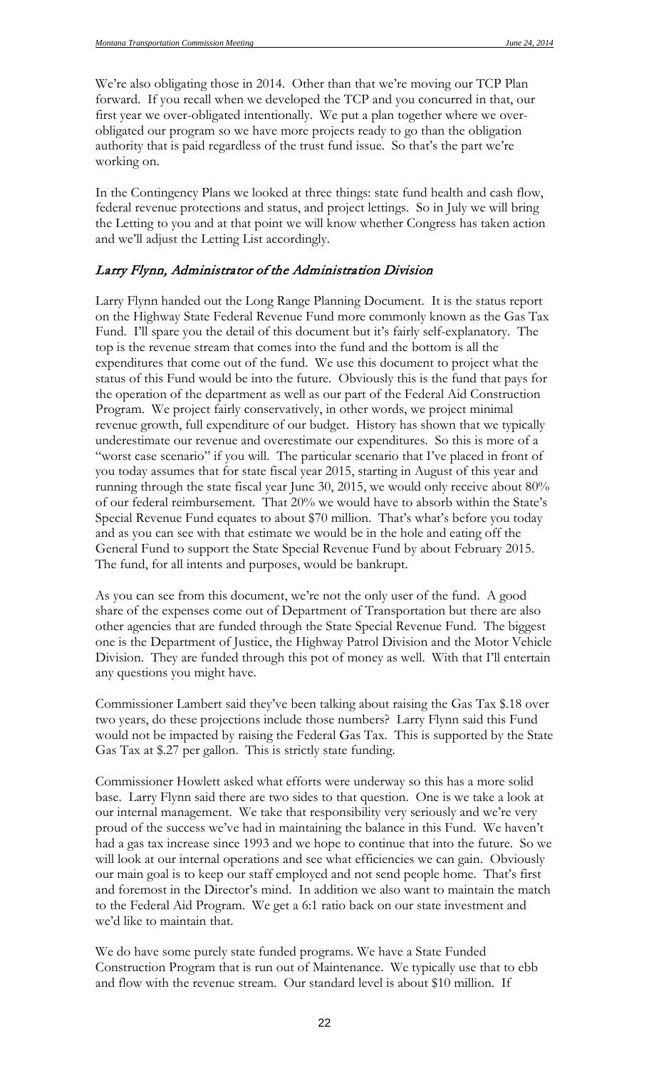We're also obligating those in 2014. Other than that we're moving our TCP Plan forward. If you recall when we developed the TCP and you concurred in that, our first year we over-obligated intentionally. We put a plan together where we overobligated our program so we have more projects ready to go than the obligation authority that is paid regardless of the trust fund issue. So that's the part we're working on.

In the Contingency Plans we looked at three things: state fund health and cash flow, federal revenue protections and status, and project lettings. So in July we will bring the Letting to you and at that point we will know whether Congress has taken action and we'll adjust the Letting List accordingly.

#### Larry Flynn, Administrator of the Administration Division

Larry Flynn handed out the Long Range Planning Document. It is the status report on the Highway State Federal Revenue Fund more commonly known as the Gas Tax Fund. I'll spare you the detail of this document but it's fairly self-explanatory. The top is the revenue stream that comes into the fund and the bottom is all the expenditures that come out of the fund. We use this document to project what the status of this Fund would be into the future. Obviously this is the fund that pays for the operation of the department as well as our part of the Federal Aid Construction Program. We project fairly conservatively, in other words, we project minimal revenue growth, full expenditure of our budget. History has shown that we typically underestimate our revenue and overestimate our expenditures. So this is more of a "worst case scenario" if you will. The particular scenario that I've placed in front of you today assumes that for state fiscal year 2015, starting in August of this year and running through the state fiscal year June 30, 2015, we would only receive about 80% of our federal reimbursement. That 20% we would have to absorb within the State's Special Revenue Fund equates to about \$70 million. That's what's before you today and as you can see with that estimate we would be in the hole and eating off the General Fund to support the State Special Revenue Fund by about February 2015. The fund, for all intents and purposes, would be bankrupt.

As you can see from this document, we're not the only user of the fund. A good share of the expenses come out of Department of Transportation but there are also other agencies that are funded through the State Special Revenue Fund. The biggest one is the Department of Justice, the Highway Patrol Division and the Motor Vehicle Division. They are funded through this pot of money as well. With that I'll entertain any questions you might have.

Commissioner Lambert said they've been talking about raising the Gas Tax \$.18 over two years, do these projections include those numbers? Larry Flynn said this Fund would not be impacted by raising the Federal Gas Tax. This is supported by the State Gas Tax at \$.27 per gallon. This is strictly state funding.

Commissioner Howlett asked what efforts were underway so this has a more solid base. Larry Flynn said there are two sides to that question. One is we take a look at our internal management. We take that responsibility very seriously and we're very proud of the success we've had in maintaining the balance in this Fund. We haven't had a gas tax increase since 1993 and we hope to continue that into the future. So we will look at our internal operations and see what efficiencies we can gain. Obviously our main goal is to keep our staff employed and not send people home. That's first and foremost in the Director's mind. In addition we also want to maintain the match to the Federal Aid Program. We get a 6:1 ratio back on our state investment and we'd like to maintain that.

We do have some purely state funded programs. We have a State Funded Construction Program that is run out of Maintenance. We typically use that to ebb and flow with the revenue stream. Our standard level is about \$10 million. If